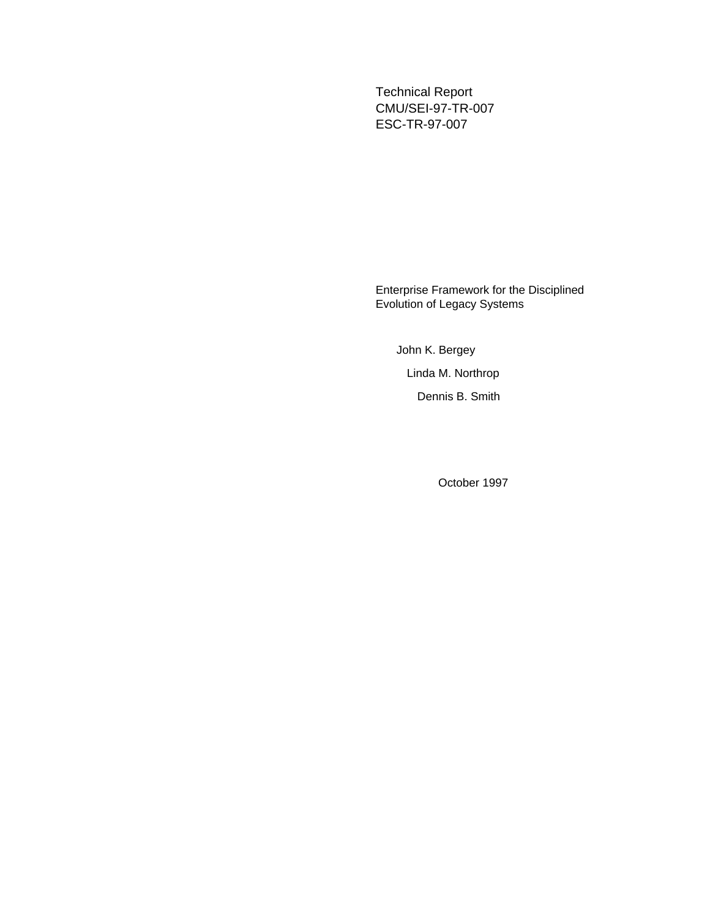Technical Report CMU/SEI-97-TR-007 ESC-TR-97-007

Enterprise Framework for the Disciplined Evolution of Legacy Systems

John K. Bergey Linda M. Northrop Dennis B. Smith

October 1997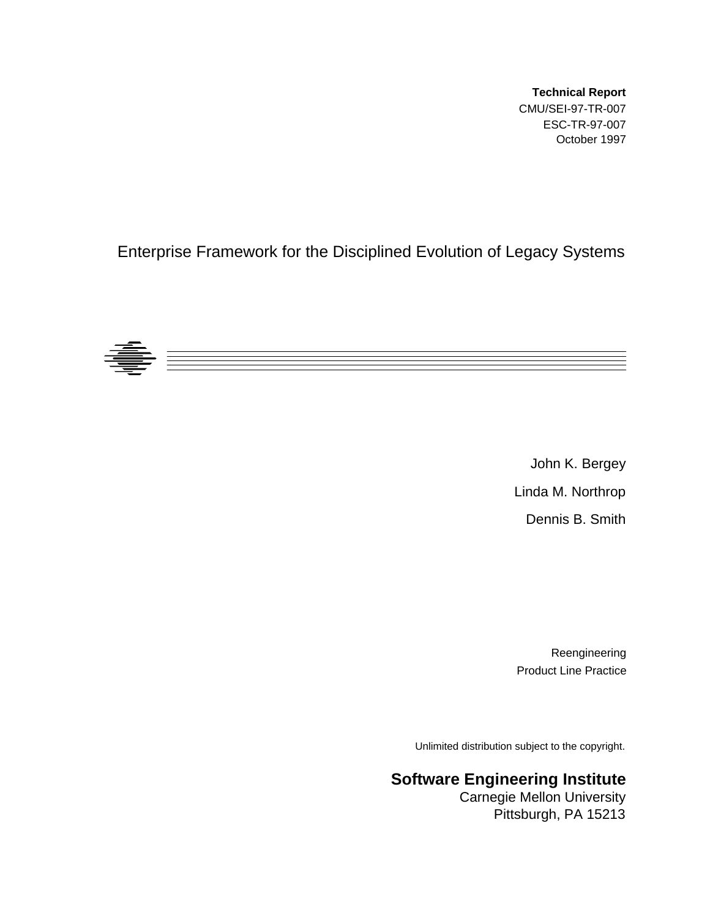**Technical Report** CMU/SEI-97-TR-007 ESC-TR-97-007 October 1997

### Enterprise Framework for the Disciplined Evolution of Legacy Systems



John K. Bergey Linda M. Northrop Dennis B. Smith

Reengineering Product Line Practice

Unlimited distribution subject to the copyright.

### **Software Engineering Institute**

Carnegie Mellon University Pittsburgh, PA 15213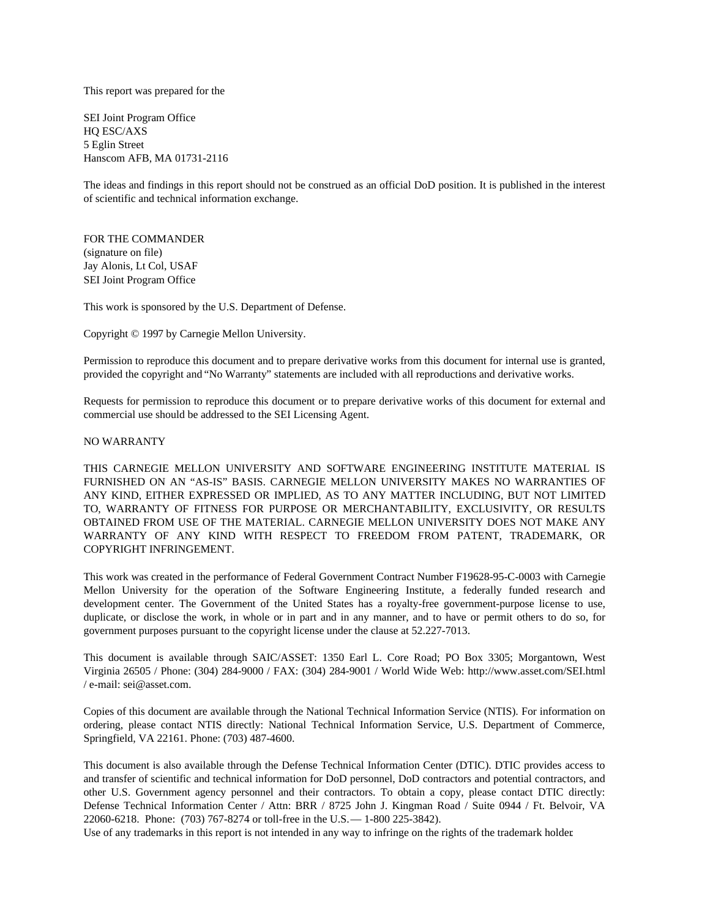This report was prepared for the

SEI Joint Program Office HQ ESC/AXS 5 Eglin Street Hanscom AFB, MA 01731-2116

The ideas and findings in this report should not be construed as an official DoD position. It is published in the interest of scientific and technical information exchange.

FOR THE COMMANDER (signature on file) Jay Alonis, Lt Col, USAF SEI Joint Program Office

This work is sponsored by the U.S. Department of Defense.

Copyright © 1997 by Carnegie Mellon University.

Permission to reproduce this document and to prepare derivative works from this document for internal use is granted, provided the copyright and "No Warranty" statements are included with all reproductions and derivative works.

Requests for permission to reproduce this document or to prepare derivative works of this document for external and commercial use should be addressed to the SEI Licensing Agent.

#### NO WARRANTY

THIS CARNEGIE MELLON UNIVERSITY AND SOFTWARE ENGINEERING INSTITUTE MATERIAL IS FURNISHED ON AN "AS-IS" BASIS. CARNEGIE MELLON UNIVERSITY MAKES NO WARRANTIES OF ANY KIND, EITHER EXPRESSED OR IMPLIED, AS TO ANY MATTER INCLUDING, BUT NOT LIMITED TO, WARRANTY OF FITNESS FOR PURPOSE OR MERCHANTABILITY, EXCLUSIVITY, OR RESULTS OBTAINED FROM USE OF THE MATERIAL. CARNEGIE MELLON UNIVERSITY DOES NOT MAKE ANY WARRANTY OF ANY KIND WITH RESPECT TO FREEDOM FROM PATENT, TRADEMARK, OR COPYRIGHT INFRINGEMENT.

This work was created in the performance of Federal Government Contract Number F19628-95-C-0003 with Carnegie Mellon University for the operation of the Software Engineering Institute, a federally funded research and development center. The Government of the United States has a royalty-free government-purpose license to use, duplicate, or disclose the work, in whole or in part and in any manner, and to have or permit others to do so, for government purposes pursuant to the copyright license under the clause at 52.227-7013.

This document is available through SAIC/ASSET: 1350 Earl L. Core Road; PO Box 3305; Morgantown, West Virginia 26505 / Phone: (304) 284-9000 / FAX: (304) 284-9001 / World Wide Web: http://www.asset.com/SEI.html / e-mail: sei@asset.com.

Copies of this document are available through the National Technical Information Service (NTIS). For information on ordering, please contact NTIS directly: National Technical Information Service, U.S. Department of Commerce, Springfield, VA 22161. Phone: (703) 487-4600.

This document is also available through the Defense Technical Information Center (DTIC). DTIC provides access to and transfer of scientific and technical information for DoD personnel, DoD contractors and potential contractors, and other U.S. Government agency personnel and their contractors. To obtain a copy, please contact DTIC directly: Defense Technical Information Center / Attn: BRR / 8725 John J. Kingman Road / Suite 0944 / Ft. Belvoir, VA 22060-6218. Phone: (703) 767-8274 or toll-free in the U.S. — 1-800 225-3842).

Use of any trademarks in this report is not intended in any way to infringe on the rights of the trademark holder.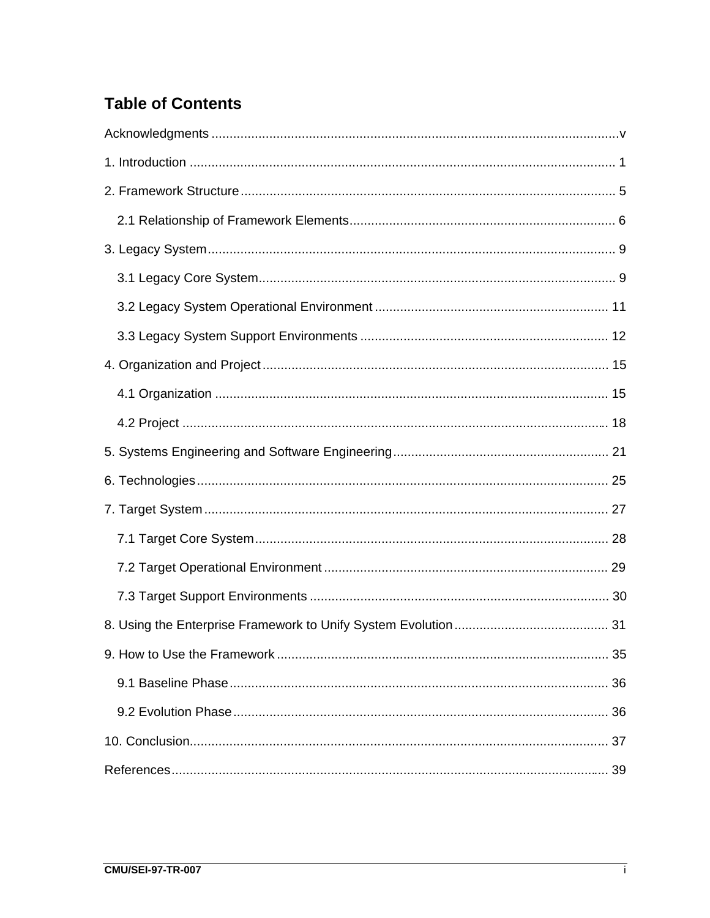# **Table of Contents**

| 36 |
|----|
|    |
|    |
|    |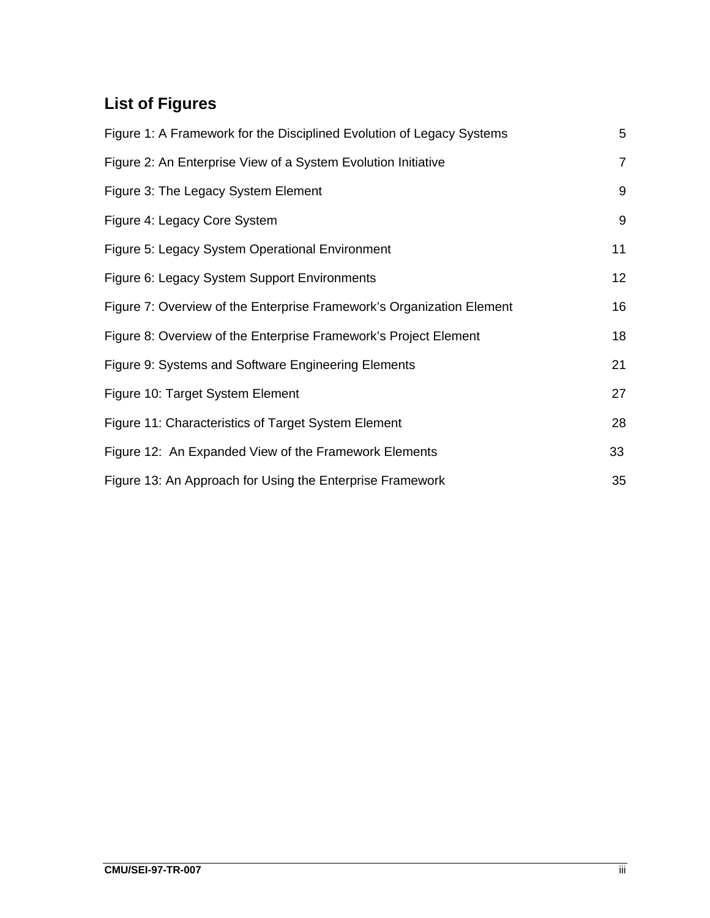# **List of Figures**

| Figure 1: A Framework for the Disciplined Evolution of Legacy Systems |                |  |
|-----------------------------------------------------------------------|----------------|--|
| Figure 2: An Enterprise View of a System Evolution Initiative         | $\overline{7}$ |  |
| Figure 3: The Legacy System Element                                   | 9              |  |
| Figure 4: Legacy Core System                                          | 9              |  |
| Figure 5: Legacy System Operational Environment                       | 11             |  |
| Figure 6: Legacy System Support Environments                          | 12             |  |
| Figure 7: Overview of the Enterprise Framework's Organization Element | 16             |  |
| Figure 8: Overview of the Enterprise Framework's Project Element      | 18             |  |
| Figure 9: Systems and Software Engineering Elements                   | 21             |  |
| Figure 10: Target System Element                                      | 27             |  |
| Figure 11: Characteristics of Target System Element                   | 28             |  |
| Figure 12: An Expanded View of the Framework Elements                 | 33             |  |
| Figure 13: An Approach for Using the Enterprise Framework             | 35             |  |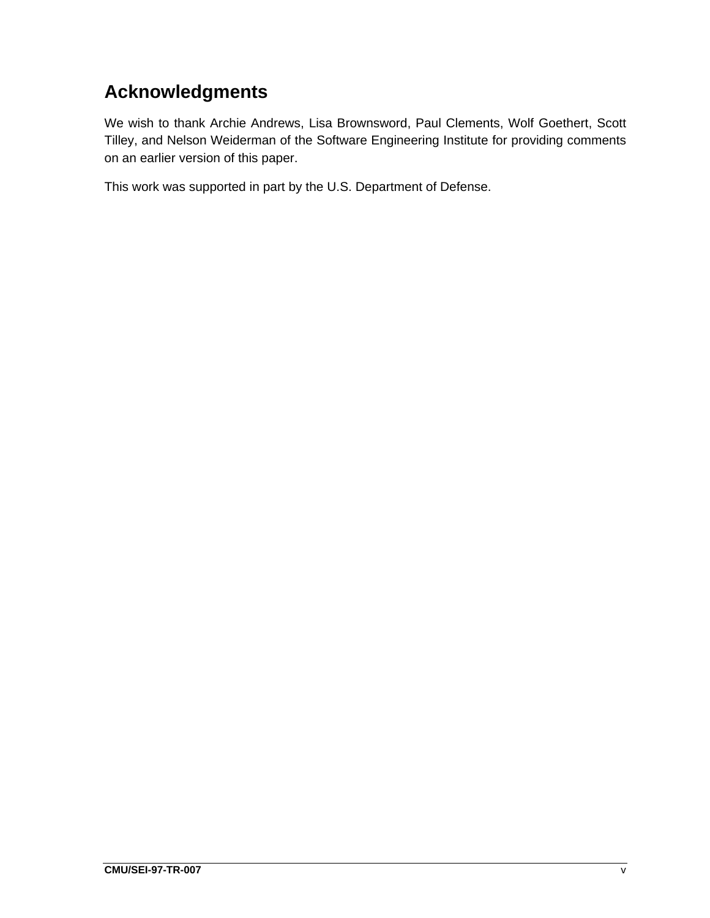# **Acknowledgments**

We wish to thank Archie Andrews, Lisa Brownsword, Paul Clements, Wolf Goethert, Scott Tilley, and Nelson Weiderman of the Software Engineering Institute for providing comments on an earlier version of this paper.

This work was supported in part by the U.S. Department of Defense.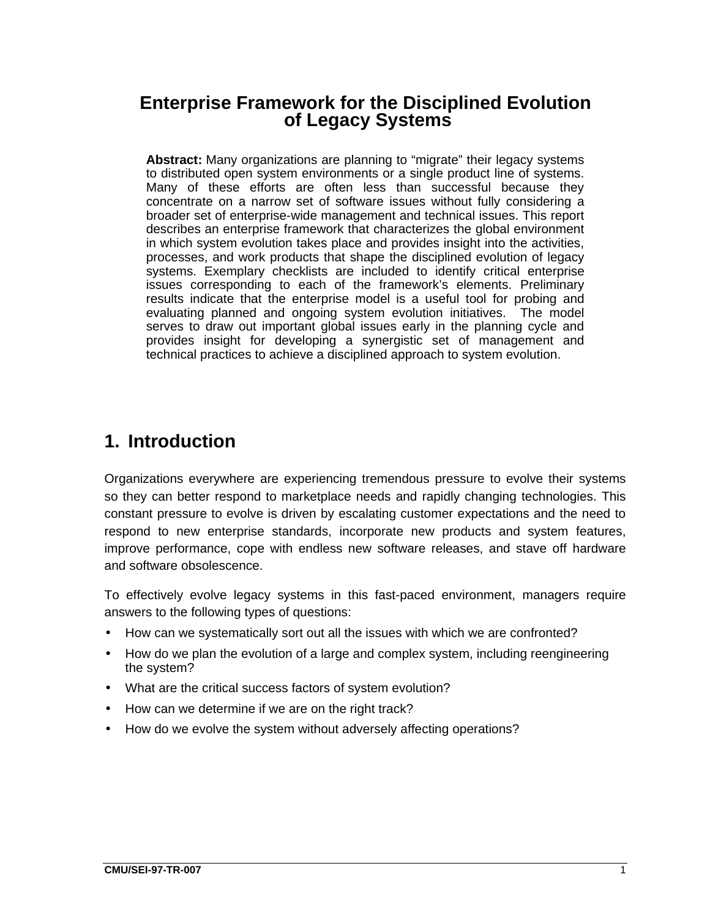# **Enterprise Framework for the Disciplined Evolution of Legacy Systems**

**Abstract:** Many organizations are planning to "migrate" their legacy systems to distributed open system environments or a single product line of systems. Many of these efforts are often less than successful because they concentrate on a narrow set of software issues without fully considering a broader set of enterprise-wide management and technical issues. This report describes an enterprise framework that characterizes the global environment in which system evolution takes place and provides insight into the activities, processes, and work products that shape the disciplined evolution of legacy systems. Exemplary checklists are included to identify critical enterprise issues corresponding to each of the framework's elements. Preliminary results indicate that the enterprise model is a useful tool for probing and evaluating planned and ongoing system evolution initiatives. The model serves to draw out important global issues early in the planning cycle and provides insight for developing a synergistic set of management and technical practices to achieve a disciplined approach to system evolution.

### **1. Introduction**

Organizations everywhere are experiencing tremendous pressure to evolve their systems so they can better respond to marketplace needs and rapidly changing technologies. This constant pressure to evolve is driven by escalating customer expectations and the need to respond to new enterprise standards, incorporate new products and system features, improve performance, cope with endless new software releases, and stave off hardware and software obsolescence.

To effectively evolve legacy systems in this fast-paced environment, managers require answers to the following types of questions:

- How can we systematically sort out all the issues with which we are confronted?
- How do we plan the evolution of a large and complex system, including reengineering the system?
- What are the critical success factors of system evolution?
- How can we determine if we are on the right track?
- How do we evolve the system without adversely affecting operations?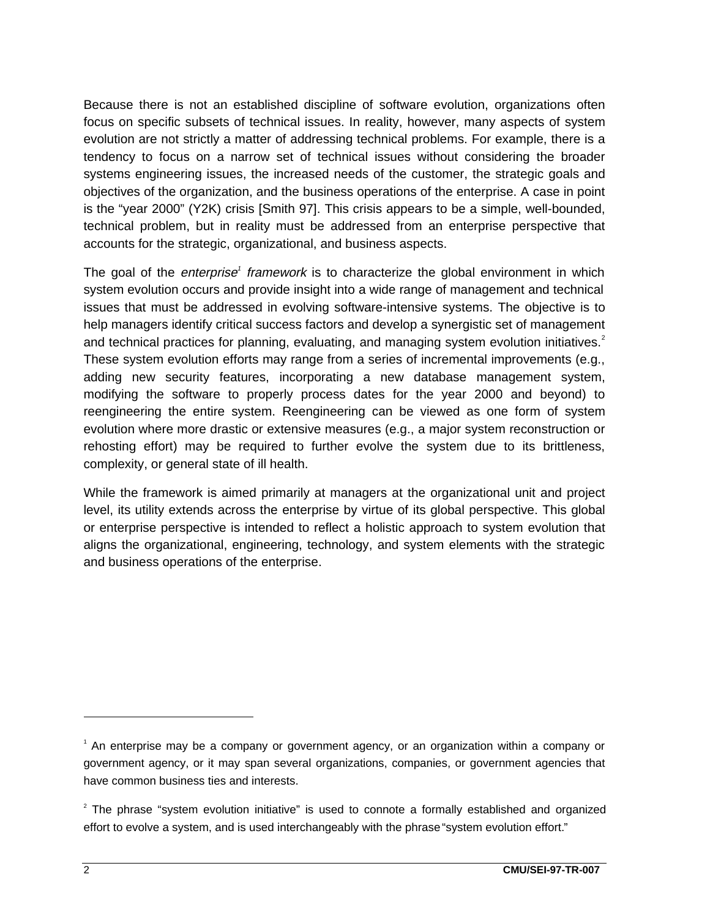Because there is not an established discipline of software evolution, organizations often focus on specific subsets of technical issues. In reality, however, many aspects of system evolution are not strictly a matter of addressing technical problems. For example, there is a tendency to focus on a narrow set of technical issues without considering the broader systems engineering issues, the increased needs of the customer, the strategic goals and objectives of the organization, and the business operations of the enterprise. A case in point is the "year 2000" (Y2K) crisis [Smith 97]. This crisis appears to be a simple, well-bounded, technical problem, but in reality must be addressed from an enterprise perspective that accounts for the strategic, organizational, and business aspects.

The goal of the *enterprise<sup>1</sup> framework* is to characterize the global environment in which system evolution occurs and provide insight into a wide range of management and technical issues that must be addressed in evolving software-intensive systems. The objective is to help managers identify critical success factors and develop a synergistic set of management and technical practices for planning, evaluating, and managing system evolution initiatives.<sup>2</sup> These system evolution efforts may range from a series of incremental improvements (e.g., adding new security features, incorporating a new database management system, modifying the software to properly process dates for the year 2000 and beyond) to reengineering the entire system. Reengineering can be viewed as one form of system evolution where more drastic or extensive measures (e.g., a major system reconstruction or rehosting effort) may be required to further evolve the system due to its brittleness, complexity, or general state of ill health.

While the framework is aimed primarily at managers at the organizational unit and project level, its utility extends across the enterprise by virtue of its global perspective. This global or enterprise perspective is intended to reflect a holistic approach to system evolution that aligns the organizational, engineering, technology, and system elements with the strategic and business operations of the enterprise.

-

<sup>&</sup>lt;sup>1</sup> An enterprise may be a company or government agency, or an organization within a company or government agency, or it may span several organizations, companies, or government agencies that have common business ties and interests.

 $2$  The phrase "system evolution initiative" is used to connote a formally established and organized effort to evolve a system, and is used interchangeably with the phrase "system evolution effort."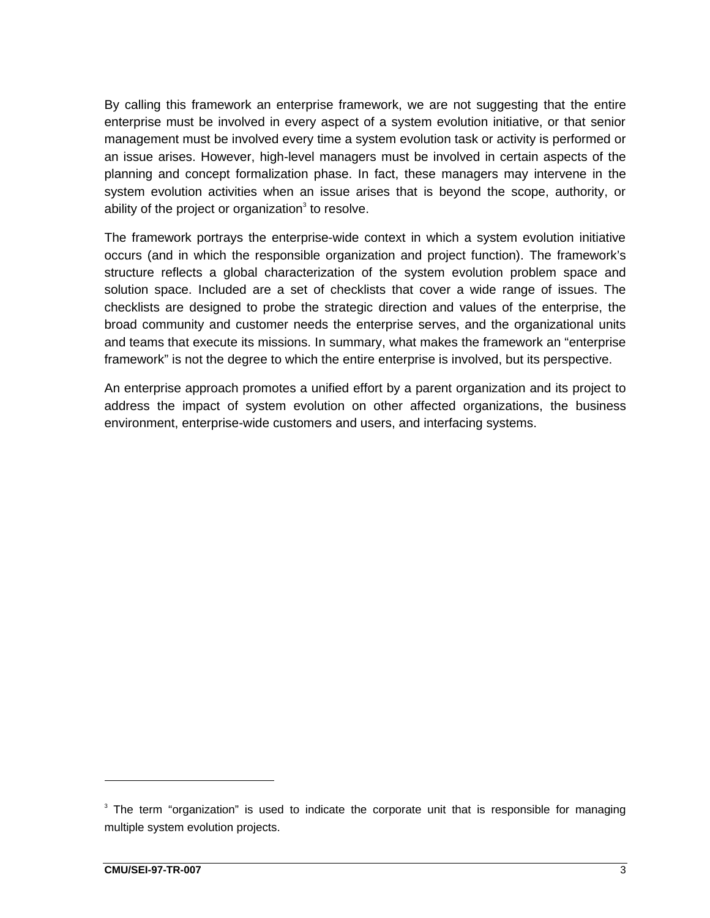By calling this framework an enterprise framework, we are not suggesting that the entire enterprise must be involved in every aspect of a system evolution initiative, or that senior management must be involved every time a system evolution task or activity is performed or an issue arises. However, high-level managers must be involved in certain aspects of the planning and concept formalization phase. In fact, these managers may intervene in the system evolution activities when an issue arises that is beyond the scope, authority, or ability of the project or organization $3$  to resolve.

The framework portrays the enterprise-wide context in which a system evolution initiative occurs (and in which the responsible organization and project function). The framework's structure reflects a global characterization of the system evolution problem space and solution space. Included are a set of checklists that cover a wide range of issues. The checklists are designed to probe the strategic direction and values of the enterprise, the broad community and customer needs the enterprise serves, and the organizational units and teams that execute its missions. In summary, what makes the framework an "enterprise framework" is not the degree to which the entire enterprise is involved, but its perspective.

An enterprise approach promotes a unified effort by a parent organization and its project to address the impact of system evolution on other affected organizations, the business environment, enterprise-wide customers and users, and interfacing systems.

 $3$  The term "organization" is used to indicate the corporate unit that is responsible for managing multiple system evolution projects.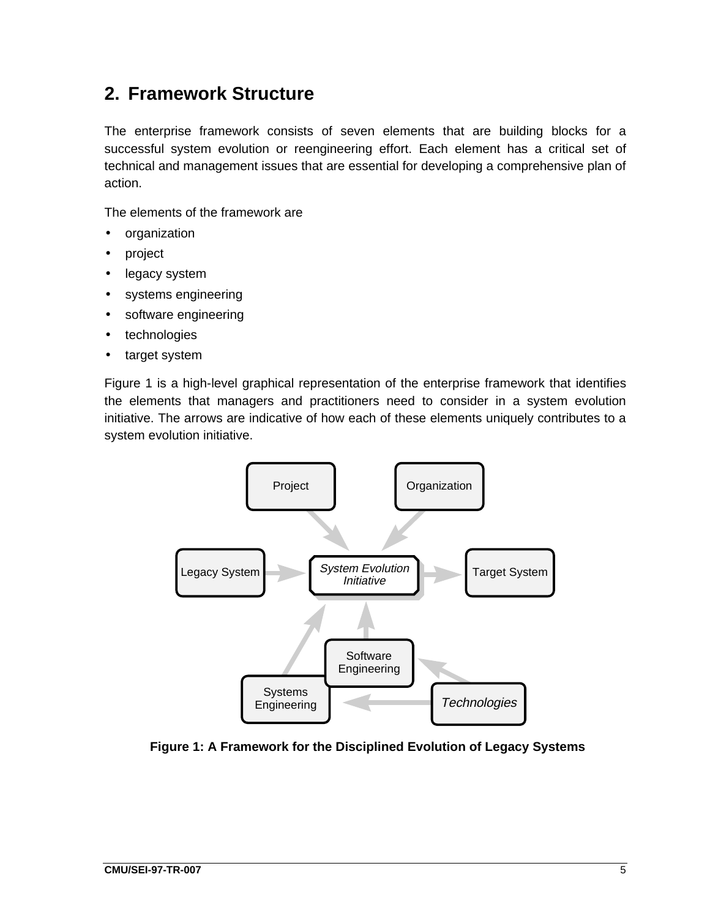# **2. Framework Structure**

The enterprise framework consists of seven elements that are building blocks for a successful system evolution or reengineering effort. Each element has a critical set of technical and management issues that are essential for developing a comprehensive plan of action.

The elements of the framework are

- organization
- project
- legacy system
- systems engineering
- software engineering
- technologies
- target system

Figure 1 is a high-level graphical representation of the enterprise framework that identifies the elements that managers and practitioners need to consider in a system evolution initiative. The arrows are indicative of how each of these elements uniquely contributes to a system evolution initiative.



**Figure 1: A Framework for the Disciplined Evolution of Legacy Systems**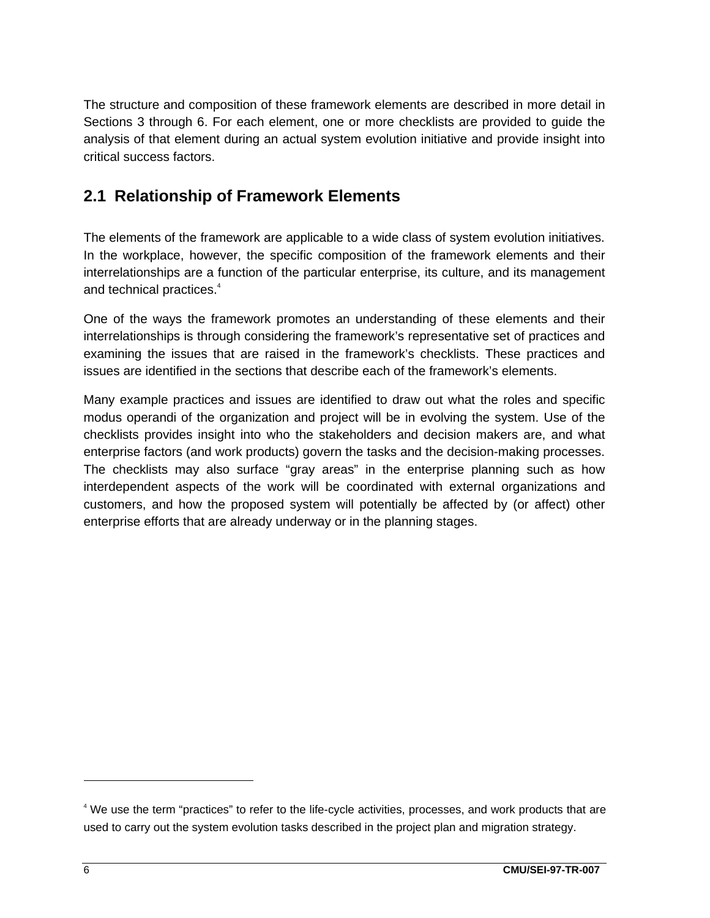The structure and composition of these framework elements are described in more detail in Sections 3 through 6. For each element, one or more checklists are provided to guide the analysis of that element during an actual system evolution initiative and provide insight into critical success factors.

### **2.1 Relationship of Framework Elements**

The elements of the framework are applicable to a wide class of system evolution initiatives. In the workplace, however, the specific composition of the framework elements and their interrelationships are a function of the particular enterprise, its culture, and its management and technical practices.<sup>4</sup>

One of the ways the framework promotes an understanding of these elements and their interrelationships is through considering the framework's representative set of practices and examining the issues that are raised in the framework's checklists. These practices and issues are identified in the sections that describe each of the framework's elements.

Many example practices and issues are identified to draw out what the roles and specific modus operandi of the organization and project will be in evolving the system. Use of the checklists provides insight into who the stakeholders and decision makers are, and what enterprise factors (and work products) govern the tasks and the decision-making processes. The checklists may also surface "gray areas" in the enterprise planning such as how interdependent aspects of the work will be coordinated with external organizations and customers, and how the proposed system will potentially be affected by (or affect) other enterprise efforts that are already underway or in the planning stages.

<sup>&</sup>lt;sup>4</sup> We use the term "practices" to refer to the life-cycle activities, processes, and work products that are used to carry out the system evolution tasks described in the project plan and migration strategy.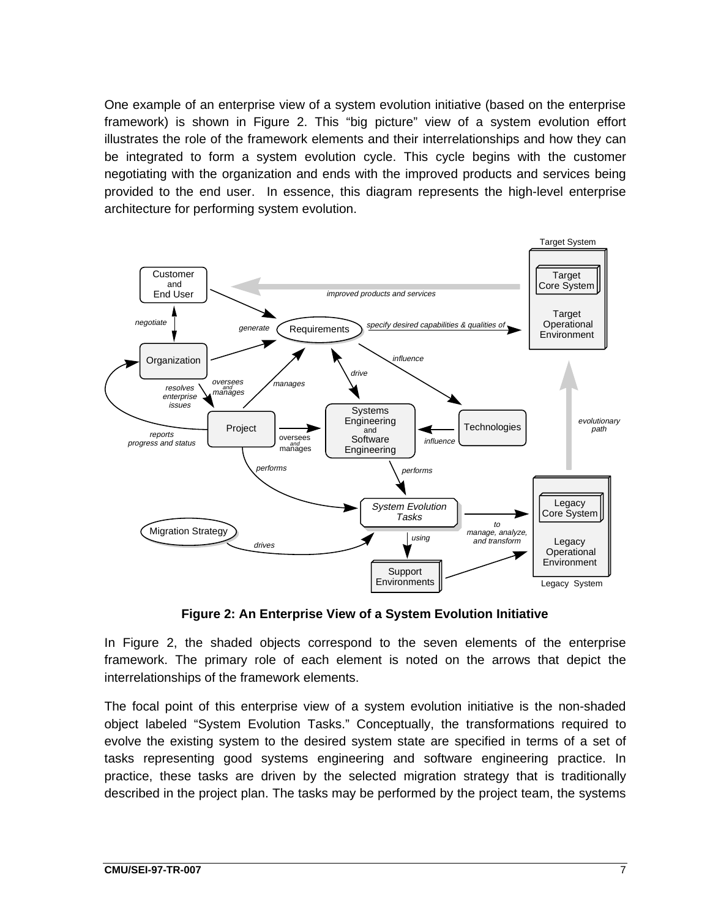One example of an enterprise view of a system evolution initiative (based on the enterprise framework) is shown in Figure 2. This "big picture" view of a system evolution effort illustrates the role of the framework elements and their interrelationships and how they can be integrated to form a system evolution cycle. This cycle begins with the customer negotiating with the organization and ends with the improved products and services being provided to the end user. In essence, this diagram represents the high-level enterprise architecture for performing system evolution.



**Figure 2: An Enterprise View of a System Evolution Initiative**

In Figure 2, the shaded objects correspond to the seven elements of the enterprise framework. The primary role of each element is noted on the arrows that depict the interrelationships of the framework elements.

The focal point of this enterprise view of a system evolution initiative is the non-shaded object labeled "System Evolution Tasks." Conceptually, the transformations required to evolve the existing system to the desired system state are specified in terms of a set of tasks representing good systems engineering and software engineering practice. In practice, these tasks are driven by the selected migration strategy that is traditionally described in the project plan. The tasks may be performed by the project team, the systems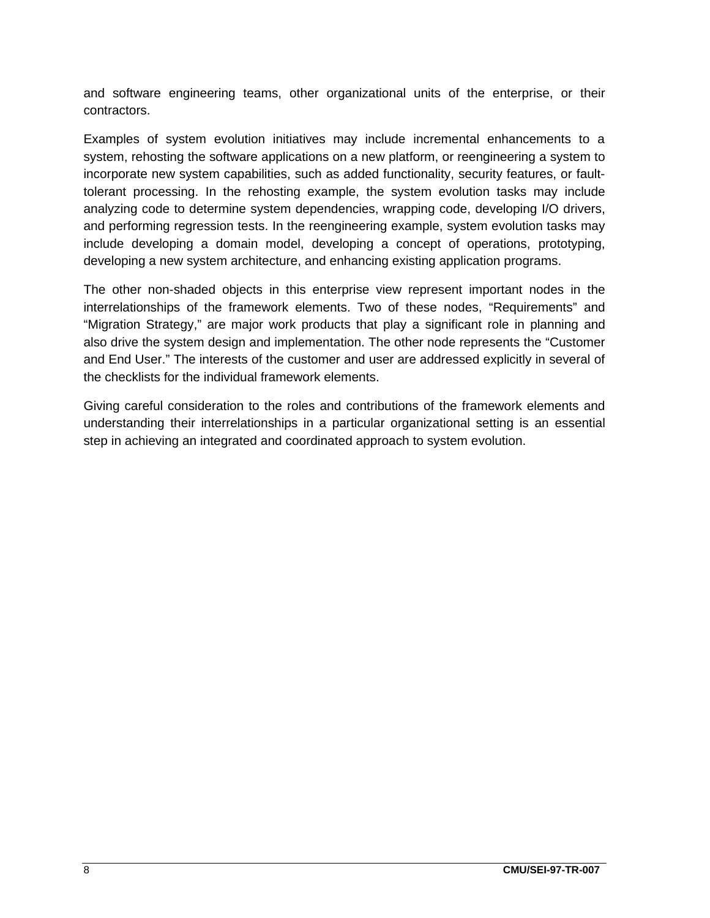and software engineering teams, other organizational units of the enterprise, or their contractors.

Examples of system evolution initiatives may include incremental enhancements to a system, rehosting the software applications on a new platform, or reengineering a system to incorporate new system capabilities, such as added functionality, security features, or faulttolerant processing. In the rehosting example, the system evolution tasks may include analyzing code to determine system dependencies, wrapping code, developing I/O drivers, and performing regression tests. In the reengineering example, system evolution tasks may include developing a domain model, developing a concept of operations, prototyping, developing a new system architecture, and enhancing existing application programs.

The other non-shaded objects in this enterprise view represent important nodes in the interrelationships of the framework elements. Two of these nodes, "Requirements" and "Migration Strategy," are major work products that play a significant role in planning and also drive the system design and implementation. The other node represents the "Customer and End User." The interests of the customer and user are addressed explicitly in several of the checklists for the individual framework elements.

Giving careful consideration to the roles and contributions of the framework elements and understanding their interrelationships in a particular organizational setting is an essential step in achieving an integrated and coordinated approach to system evolution.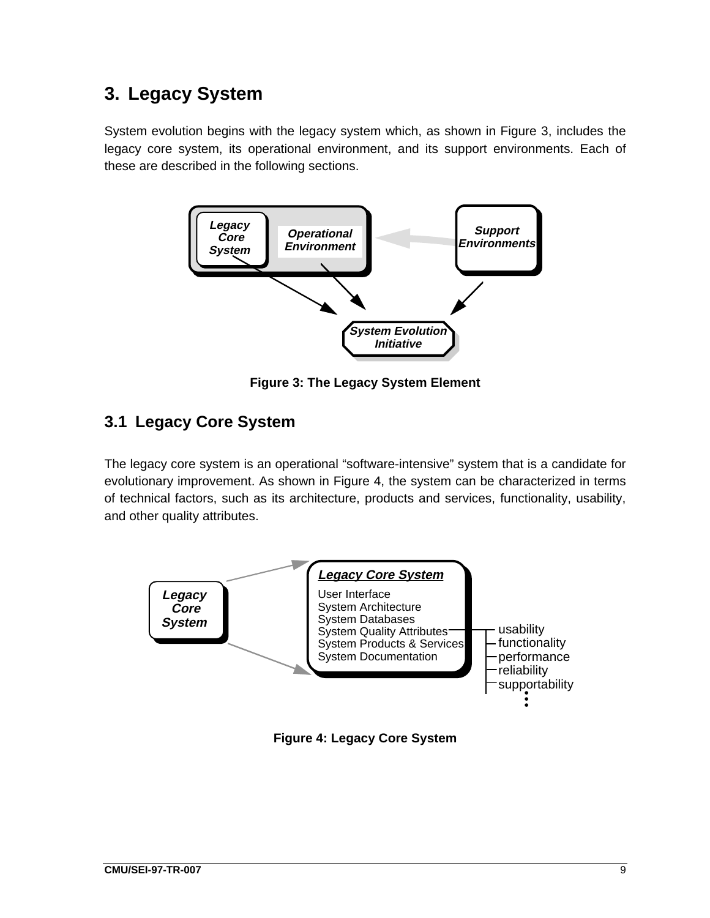# **3. Legacy System**

System evolution begins with the legacy system which, as shown in Figure 3, includes the legacy core system, its operational environment, and its support environments. Each of these are described in the following sections.



**Figure 3: The Legacy System Element**

### **3.1 Legacy Core System**

The legacy core system is an operational "software-intensive" system that is a candidate for evolutionary improvement. As shown in Figure 4, the system can be characterized in terms of technical factors, such as its architecture, products and services, functionality, usability, and other quality attributes.



**Figure 4: Legacy Core System**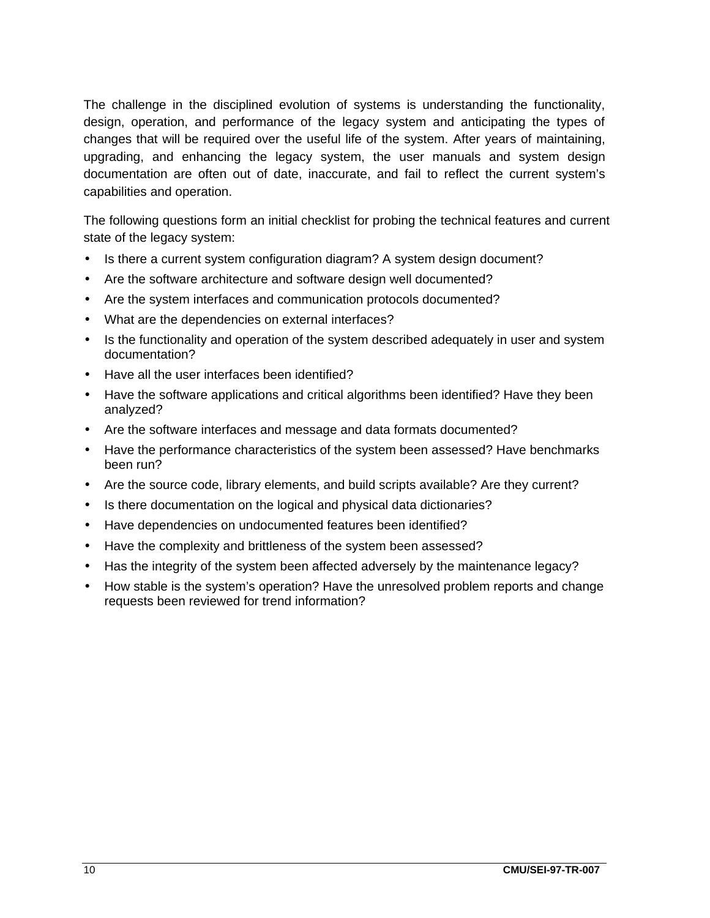The challenge in the disciplined evolution of systems is understanding the functionality, design, operation, and performance of the legacy system and anticipating the types of changes that will be required over the useful life of the system. After years of maintaining, upgrading, and enhancing the legacy system, the user manuals and system design documentation are often out of date, inaccurate, and fail to reflect the current system's capabilities and operation.

The following questions form an initial checklist for probing the technical features and current state of the legacy system:

- Is there a current system configuration diagram? A system design document?
- Are the software architecture and software design well documented?
- Are the system interfaces and communication protocols documented?
- What are the dependencies on external interfaces?
- Is the functionality and operation of the system described adequately in user and system documentation?
- Have all the user interfaces been identified?
- Have the software applications and critical algorithms been identified? Have they been analyzed?
- Are the software interfaces and message and data formats documented?
- Have the performance characteristics of the system been assessed? Have benchmarks been run?
- Are the source code, library elements, and build scripts available? Are they current?
- Is there documentation on the logical and physical data dictionaries?
- Have dependencies on undocumented features been identified?
- Have the complexity and brittleness of the system been assessed?
- Has the integrity of the system been affected adversely by the maintenance legacy?
- How stable is the system's operation? Have the unresolved problem reports and change requests been reviewed for trend information?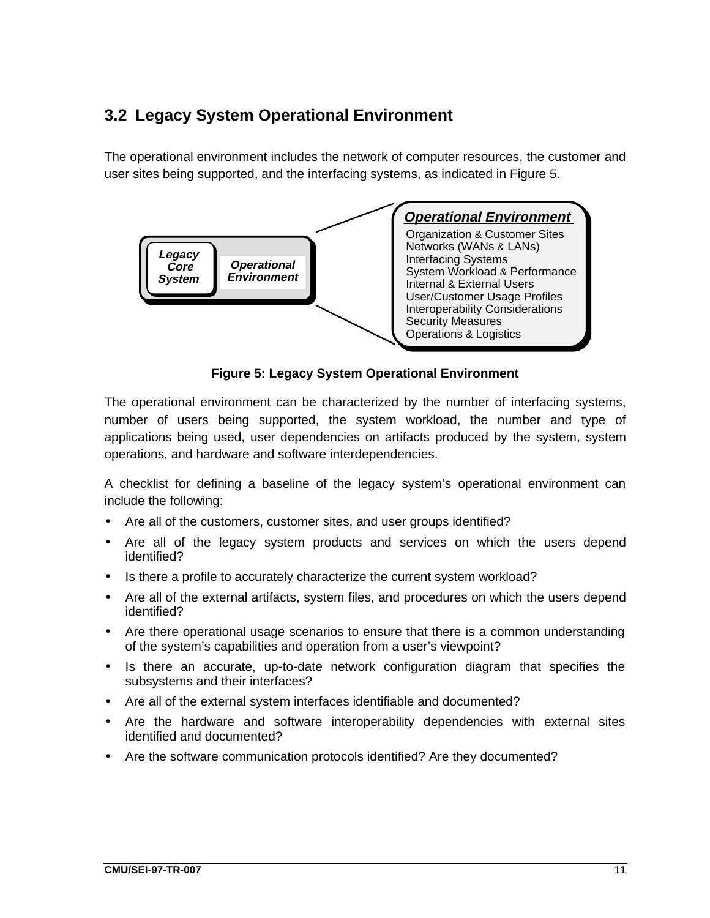### **3.2 Legacy System Operational Environment**

The operational environment includes the network of computer resources, the customer and user sites being supported, and the interfacing systems, as indicated in Figure 5.



**Figure 5: Legacy System Operational Environment**

The operational environment can be characterized by the number of interfacing systems, number of users being supported, the system workload, the number and type of applications being used, user dependencies on artifacts produced by the system, system operations, and hardware and software interdependencies.

A checklist for defining a baseline of the legacy system's operational environment can include the following:

- Are all of the customers, customer sites, and user groups identified?
- Are all of the legacy system products and services on which the users depend identified?
- Is there a profile to accurately characterize the current system workload?
- Are all of the external artifacts, system files, and procedures on which the users depend identified?
- Are there operational usage scenarios to ensure that there is a common understanding of the system's capabilities and operation from a user's viewpoint?
- Is there an accurate, up-to-date network configuration diagram that specifies the subsystems and their interfaces?
- Are all of the external system interfaces identifiable and documented?
- Are the hardware and software interoperability dependencies with external sites identified and documented?
- Are the software communication protocols identified? Are they documented?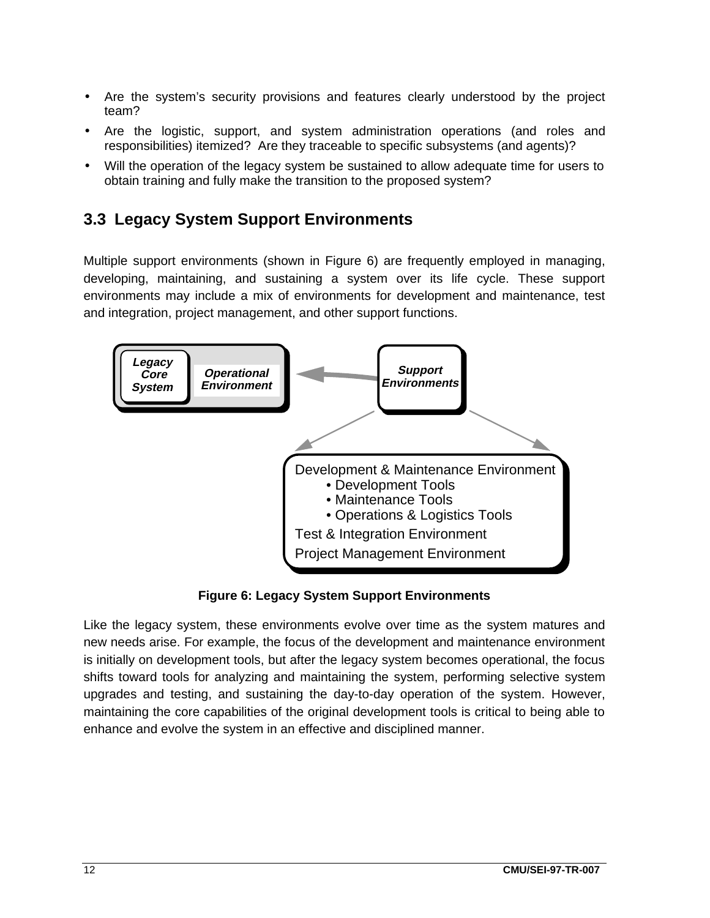- Are the system's security provisions and features clearly understood by the project team?
- Are the logistic, support, and system administration operations (and roles and responsibilities) itemized? Are they traceable to specific subsystems (and agents)?
- Will the operation of the legacy system be sustained to allow adequate time for users to obtain training and fully make the transition to the proposed system?

### **3.3 Legacy System Support Environments**

Multiple support environments (shown in Figure 6) are frequently employed in managing, developing, maintaining, and sustaining a system over its life cycle. These support environments may include a mix of environments for development and maintenance, test and integration, project management, and other support functions.



**Figure 6: Legacy System Support Environments**

Like the legacy system, these environments evolve over time as the system matures and new needs arise. For example, the focus of the development and maintenance environment is initially on development tools, but after the legacy system becomes operational, the focus shifts toward tools for analyzing and maintaining the system, performing selective system upgrades and testing, and sustaining the day-to-day operation of the system. However, maintaining the core capabilities of the original development tools is critical to being able to enhance and evolve the system in an effective and disciplined manner.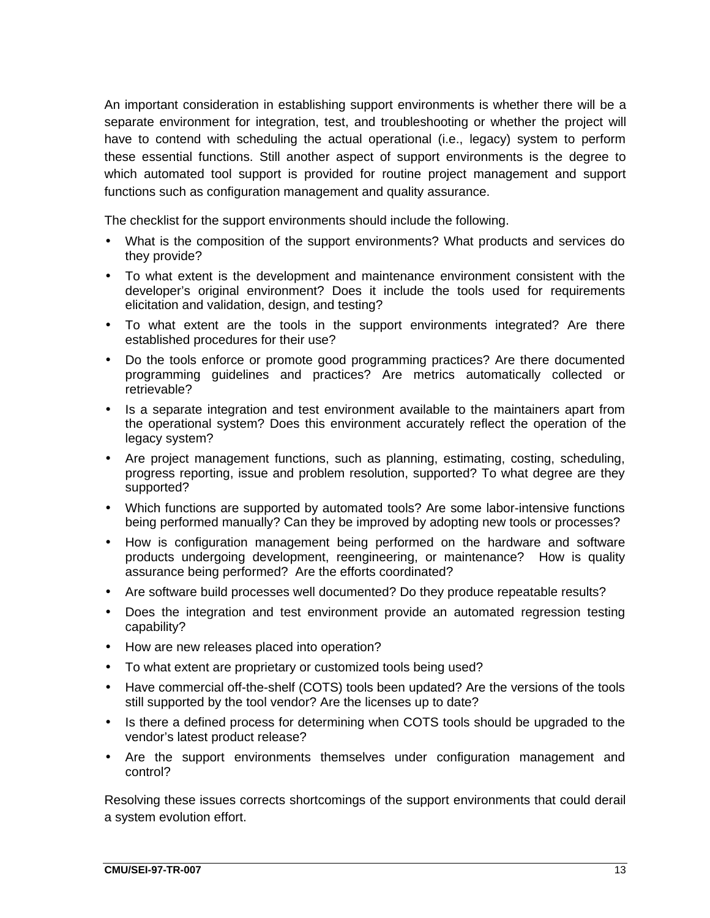An important consideration in establishing support environments is whether there will be a separate environment for integration, test, and troubleshooting or whether the project will have to contend with scheduling the actual operational (i.e., legacy) system to perform these essential functions. Still another aspect of support environments is the degree to which automated tool support is provided for routine project management and support functions such as configuration management and quality assurance.

The checklist for the support environments should include the following.

- What is the composition of the support environments? What products and services do they provide?
- To what extent is the development and maintenance environment consistent with the developer's original environment? Does it include the tools used for requirements elicitation and validation, design, and testing?
- To what extent are the tools in the support environments integrated? Are there established procedures for their use?
- Do the tools enforce or promote good programming practices? Are there documented programming guidelines and practices? Are metrics automatically collected or retrievable?
- Is a separate integration and test environment available to the maintainers apart from the operational system? Does this environment accurately reflect the operation of the legacy system?
- Are project management functions, such as planning, estimating, costing, scheduling, progress reporting, issue and problem resolution, supported? To what degree are they supported?
- Which functions are supported by automated tools? Are some labor-intensive functions being performed manually? Can they be improved by adopting new tools or processes?
- How is configuration management being performed on the hardware and software products undergoing development, reengineering, or maintenance? How is quality assurance being performed? Are the efforts coordinated?
- Are software build processes well documented? Do they produce repeatable results?
- Does the integration and test environment provide an automated regression testing capability?
- How are new releases placed into operation?
- To what extent are proprietary or customized tools being used?
- Have commercial off-the-shelf (COTS) tools been updated? Are the versions of the tools still supported by the tool vendor? Are the licenses up to date?
- Is there a defined process for determining when COTS tools should be upgraded to the vendor's latest product release?
- Are the support environments themselves under configuration management and control?

Resolving these issues corrects shortcomings of the support environments that could derail a system evolution effort.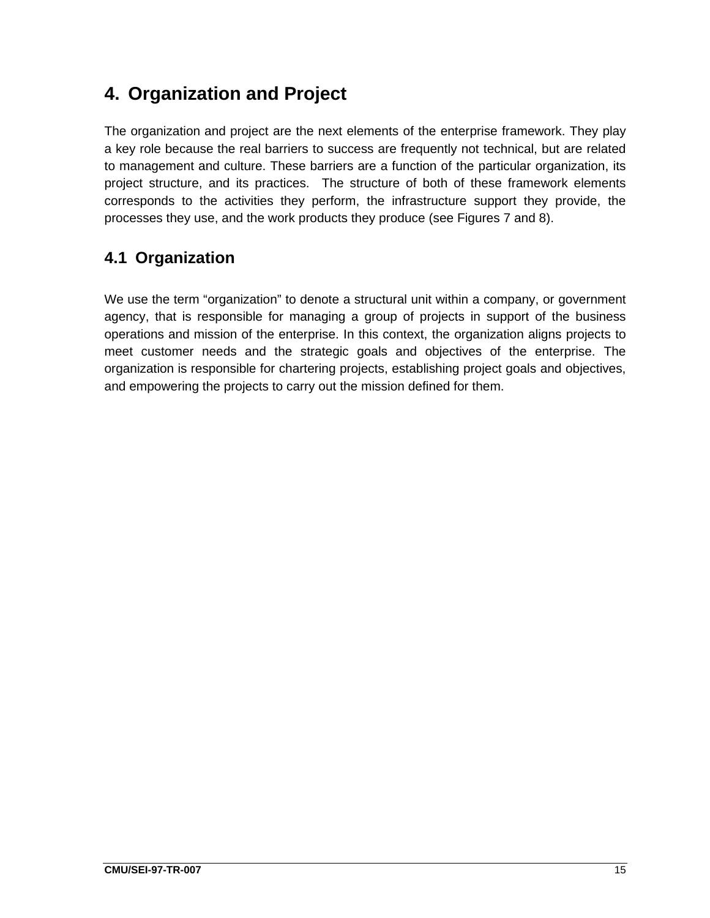# **4. Organization and Project**

The organization and project are the next elements of the enterprise framework. They play a key role because the real barriers to success are frequently not technical, but are related to management and culture. These barriers are a function of the particular organization, its project structure, and its practices. The structure of both of these framework elements corresponds to the activities they perform, the infrastructure support they provide, the processes they use, and the work products they produce (see Figures 7 and 8).

### **4.1 Organization**

We use the term "organization" to denote a structural unit within a company, or government agency, that is responsible for managing a group of projects in support of the business operations and mission of the enterprise. In this context, the organization aligns projects to meet customer needs and the strategic goals and objectives of the enterprise. The organization is responsible for chartering projects, establishing project goals and objectives, and empowering the projects to carry out the mission defined for them.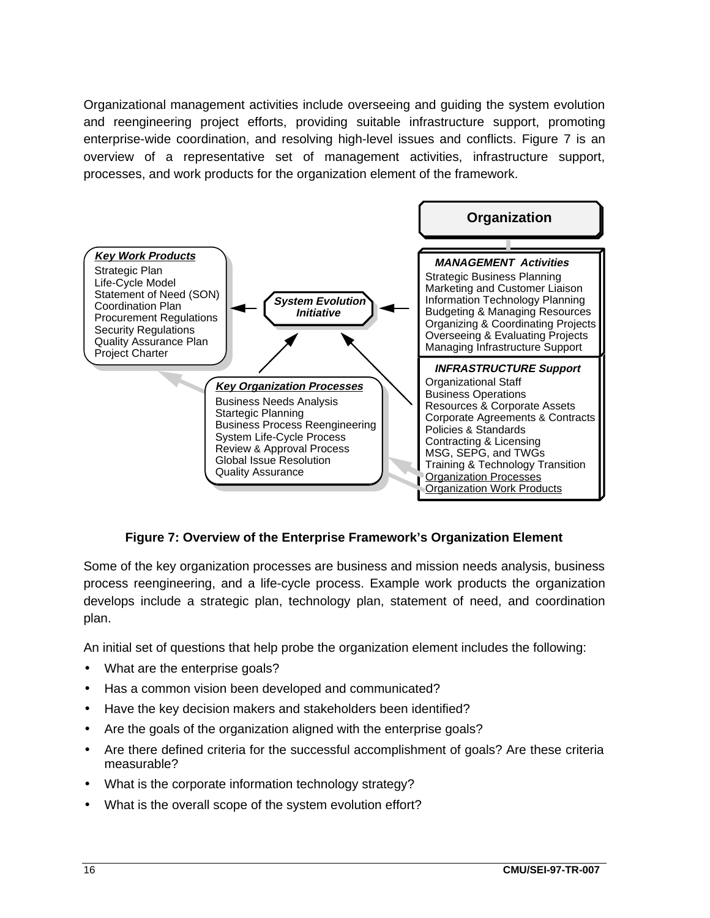Organizational management activities include overseeing and guiding the system evolution and reengineering project efforts, providing suitable infrastructure support, promoting enterprise-wide coordination, and resolving high-level issues and conflicts. Figure 7 is an overview of a representative set of management activities, infrastructure support, processes, and work products for the organization element of the framework.



#### **Figure 7: Overview of the Enterprise Framework's Organization Element**

Some of the key organization processes are business and mission needs analysis, business process reengineering, and a life-cycle process. Example work products the organization develops include a strategic plan, technology plan, statement of need, and coordination plan.

An initial set of questions that help probe the organization element includes the following:

- What are the enterprise goals?
- Has a common vision been developed and communicated?
- Have the key decision makers and stakeholders been identified?
- Are the goals of the organization aligned with the enterprise goals?
- Are there defined criteria for the successful accomplishment of goals? Are these criteria measurable?
- What is the corporate information technology strategy?
- What is the overall scope of the system evolution effort?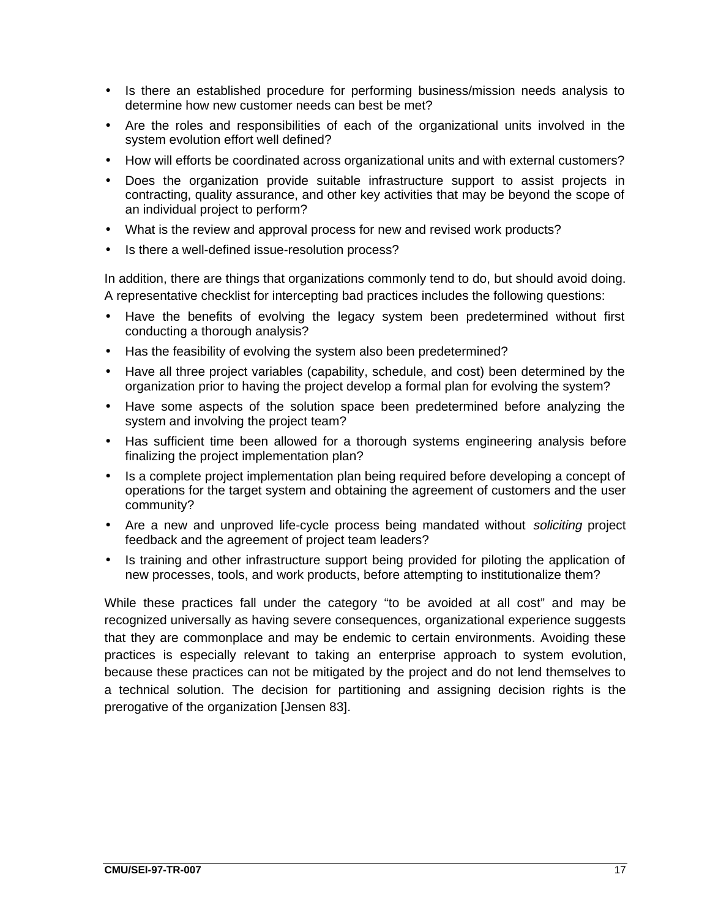- Is there an established procedure for performing business/mission needs analysis to determine how new customer needs can best be met?
- Are the roles and responsibilities of each of the organizational units involved in the system evolution effort well defined?
- How will efforts be coordinated across organizational units and with external customers?
- Does the organization provide suitable infrastructure support to assist projects in contracting, quality assurance, and other key activities that may be beyond the scope of an individual project to perform?
- What is the review and approval process for new and revised work products?
- Is there a well-defined issue-resolution process?

In addition, there are things that organizations commonly tend to do, but should avoid doing. A representative checklist for intercepting bad practices includes the following questions:

- Have the benefits of evolving the legacy system been predetermined without first conducting a thorough analysis?
- Has the feasibility of evolving the system also been predetermined?
- Have all three project variables (capability, schedule, and cost) been determined by the organization prior to having the project develop a formal plan for evolving the system?
- Have some aspects of the solution space been predetermined before analyzing the system and involving the project team?
- Has sufficient time been allowed for a thorough systems engineering analysis before finalizing the project implementation plan?
- Is a complete project implementation plan being required before developing a concept of operations for the target system and obtaining the agreement of customers and the user community?
- Are a new and unproved life-cycle process being mandated without *soliciting* project feedback and the agreement of project team leaders?
- Is training and other infrastructure support being provided for piloting the application of new processes, tools, and work products, before attempting to institutionalize them?

While these practices fall under the category "to be avoided at all cost" and may be recognized universally as having severe consequences, organizational experience suggests that they are commonplace and may be endemic to certain environments. Avoiding these practices is especially relevant to taking an enterprise approach to system evolution, because these practices can not be mitigated by the project and do not lend themselves to a technical solution. The decision for partitioning and assigning decision rights is the prerogative of the organization [Jensen 83].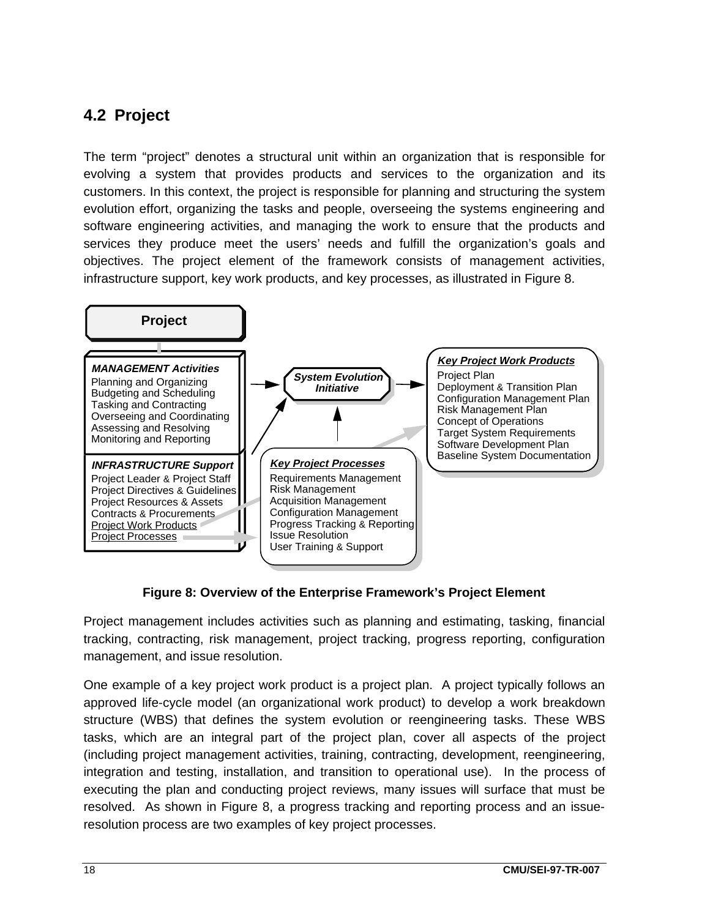### **4.2 Project**

The term "project" denotes a structural unit within an organization that is responsible for evolving a system that provides products and services to the organization and its customers. In this context, the project is responsible for planning and structuring the system evolution effort, organizing the tasks and people, overseeing the systems engineering and software engineering activities, and managing the work to ensure that the products and services they produce meet the users' needs and fulfill the organization's goals and objectives. The project element of the framework consists of management activities, infrastructure support, key work products, and key processes, as illustrated in Figure 8.

![](_page_27_Figure_2.jpeg)

#### **Figure 8: Overview of the Enterprise Framework's Project Element**

Project management includes activities such as planning and estimating, tasking, financial tracking, contracting, risk management, project tracking, progress reporting, configuration management, and issue resolution.

One example of a key project work product is a project plan. A project typically follows an approved life-cycle model (an organizational work product) to develop a work breakdown structure (WBS) that defines the system evolution or reengineering tasks. These WBS tasks, which are an integral part of the project plan, cover all aspects of the project (including project management activities, training, contracting, development, reengineering, integration and testing, installation, and transition to operational use). In the process of executing the plan and conducting project reviews, many issues will surface that must be resolved. As shown in Figure 8, a progress tracking and reporting process and an issueresolution process are two examples of key project processes.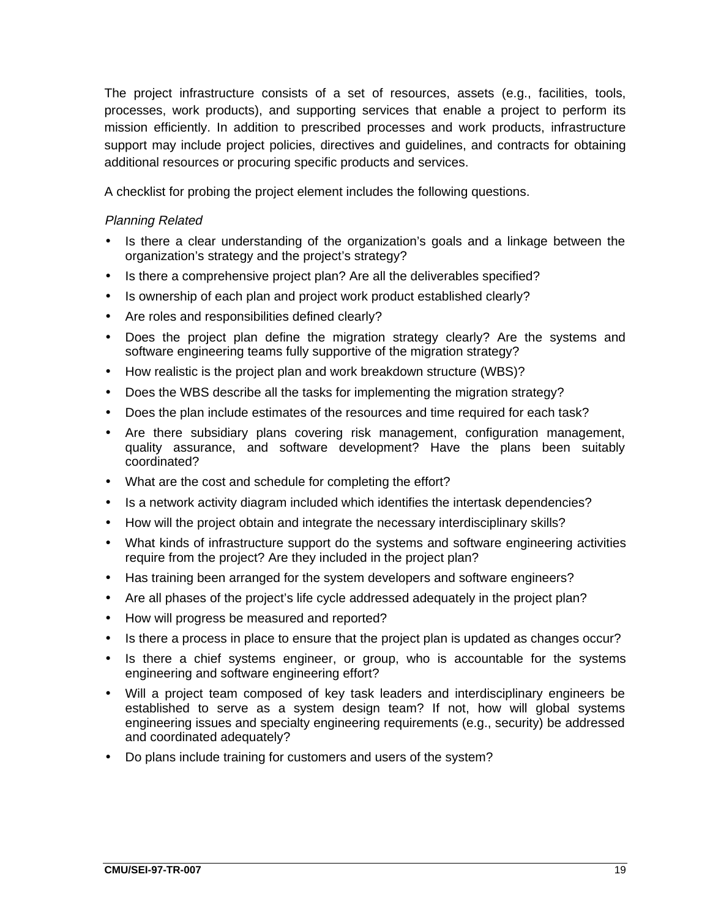The project infrastructure consists of a set of resources, assets (e.g., facilities, tools, processes, work products), and supporting services that enable a project to perform its mission efficiently. In addition to prescribed processes and work products, infrastructure support may include project policies, directives and guidelines, and contracts for obtaining additional resources or procuring specific products and services.

A checklist for probing the project element includes the following questions.

#### Planning Related

- Is there a clear understanding of the organization's goals and a linkage between the organization's strategy and the project's strategy?
- Is there a comprehensive project plan? Are all the deliverables specified?
- Is ownership of each plan and project work product established clearly?
- Are roles and responsibilities defined clearly?
- Does the project plan define the migration strategy clearly? Are the systems and software engineering teams fully supportive of the migration strategy?
- How realistic is the project plan and work breakdown structure (WBS)?
- Does the WBS describe all the tasks for implementing the migration strategy?
- Does the plan include estimates of the resources and time required for each task?
- Are there subsidiary plans covering risk management, configuration management, quality assurance, and software development? Have the plans been suitably coordinated?
- What are the cost and schedule for completing the effort?
- Is a network activity diagram included which identifies the intertask dependencies?
- How will the project obtain and integrate the necessary interdisciplinary skills?
- What kinds of infrastructure support do the systems and software engineering activities require from the project? Are they included in the project plan?
- Has training been arranged for the system developers and software engineers?
- Are all phases of the project's life cycle addressed adequately in the project plan?
- How will progress be measured and reported?
- Is there a process in place to ensure that the project plan is updated as changes occur?
- Is there a chief systems engineer, or group, who is accountable for the systems engineering and software engineering effort?
- Will a project team composed of key task leaders and interdisciplinary engineers be established to serve as a system design team? If not, how will global systems engineering issues and specialty engineering requirements (e.g., security) be addressed and coordinated adequately?
- Do plans include training for customers and users of the system?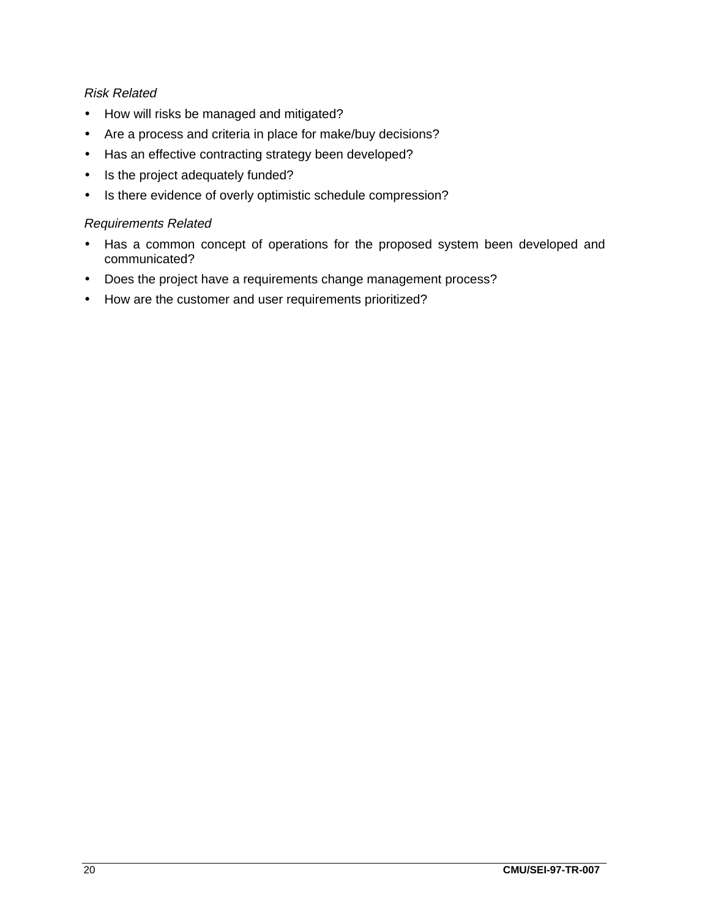#### Risk Related

- How will risks be managed and mitigated?
- Are a process and criteria in place for make/buy decisions?
- Has an effective contracting strategy been developed?
- Is the project adequately funded?
- Is there evidence of overly optimistic schedule compression?

#### Requirements Related

- Has a common concept of operations for the proposed system been developed and communicated?
- Does the project have a requirements change management process?
- How are the customer and user requirements prioritized?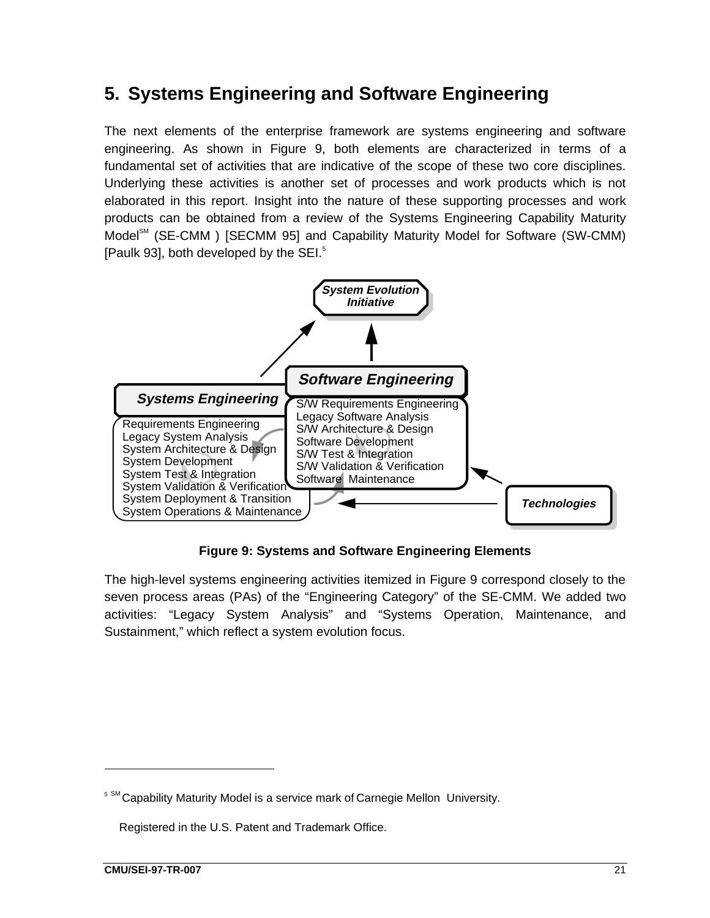# **5. Systems Engineering and Software Engineering**

The next elements of the enterprise framework are systems engineering and software engineering. As shown in Figure 9, both elements are characterized in terms of a fundamental set of activities that are indicative of the scope of these two core disciplines. Underlying these activities is another set of processes and work products which is not elaborated in this report. Insight into the nature of these supporting processes and work products can be obtained from a review of the Systems Engineering Capability Maturity Model<sup>sM</sup> (SE-CMM<sup>®</sup>) [SECMM 95] and Capability Maturity Model for Software (SW-CMM) [Paulk 93], both developed by the SEI.<sup>5</sup>

![](_page_30_Figure_2.jpeg)

**Figure 9: Systems and Software Engineering Elements**

The high-level systems engineering activities itemized in Figure 9 correspond closely to the seven process areas (PAs) of the "Engineering Category" of the SE-CMM. We added two activities: "Legacy System Analysis" and "Systems Operation, Maintenance, and Sustainment," which reflect a system evolution focus.

-

<sup>&</sup>lt;sup>5 SM</sup> Capability Maturity Model is a service mark of Carnegie Mellon University.

 $\degree$  Registered in the U.S. Patent and Trademark Office.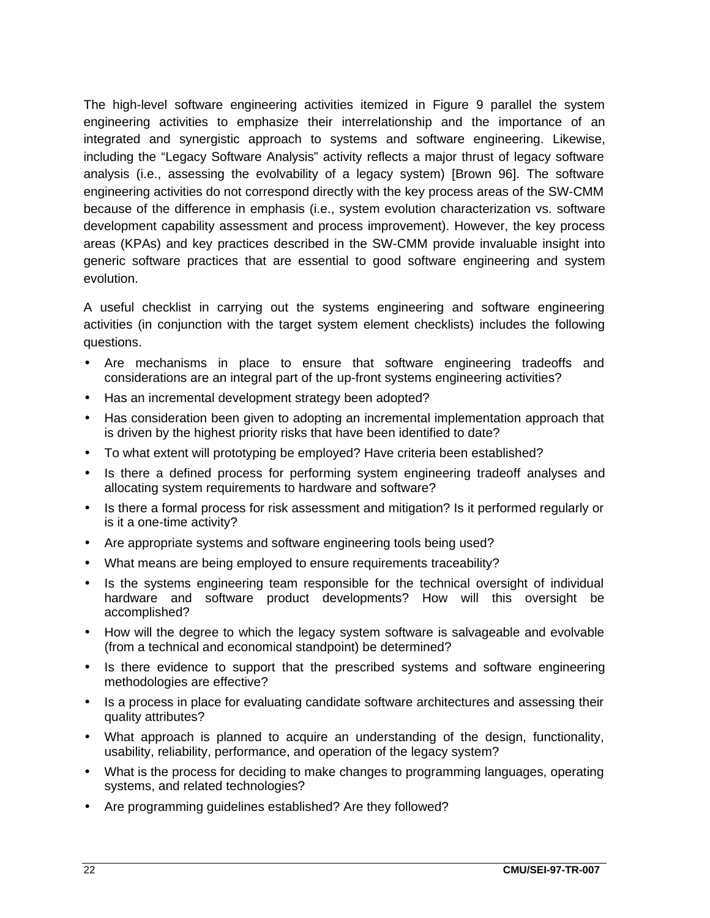The high-level software engineering activities itemized in Figure 9 parallel the system engineering activities to emphasize their interrelationship and the importance of an integrated and synergistic approach to systems and software engineering. Likewise, including the "Legacy Software Analysis" activity reflects a major thrust of legacy software analysis (i.e., assessing the evolvability of a legacy system) [Brown 96]. The software engineering activities do not correspond directly with the key process areas of the SW-CMM because of the difference in emphasis (i.e., system evolution characterization vs. software development capability assessment and process improvement). However, the key process areas (KPAs) and key practices described in the SW-CMM provide invaluable insight into generic software practices that are essential to good software engineering and system evolution.

A useful checklist in carrying out the systems engineering and software engineering activities (in conjunction with the target system element checklists) includes the following questions.

- Are mechanisms in place to ensure that software engineering tradeoffs and considerations are an integral part of the up-front systems engineering activities?
- Has an incremental development strategy been adopted?
- Has consideration been given to adopting an incremental implementation approach that is driven by the highest priority risks that have been identified to date?
- To what extent will prototyping be employed? Have criteria been established?
- Is there a defined process for performing system engineering tradeoff analyses and allocating system requirements to hardware and software?
- Is there a formal process for risk assessment and mitigation? Is it performed regularly or is it a one-time activity?
- Are appropriate systems and software engineering tools being used?
- What means are being employed to ensure requirements traceability?
- Is the systems engineering team responsible for the technical oversight of individual hardware and software product developments? How will this oversight be accomplished?
- How will the degree to which the legacy system software is salvageable and evolvable (from a technical and economical standpoint) be determined?
- Is there evidence to support that the prescribed systems and software engineering methodologies are effective?
- Is a process in place for evaluating candidate software architectures and assessing their quality attributes?
- What approach is planned to acquire an understanding of the design, functionality, usability, reliability, performance, and operation of the legacy system?
- What is the process for deciding to make changes to programming languages, operating systems, and related technologies?
- Are programming guidelines established? Are they followed?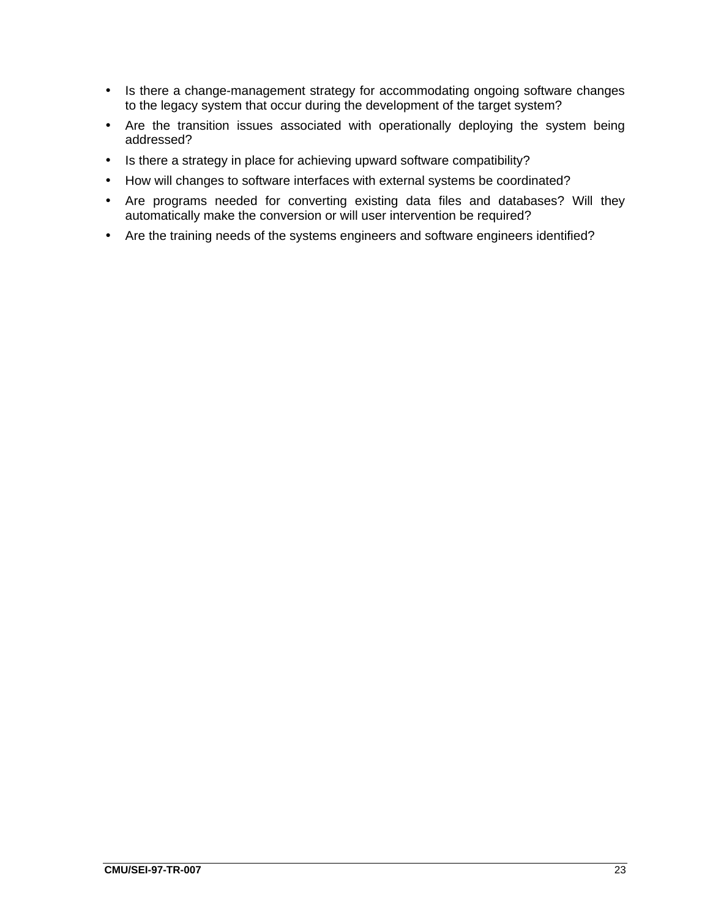- Is there a change-management strategy for accommodating ongoing software changes to the legacy system that occur during the development of the target system?
- Are the transition issues associated with operationally deploying the system being addressed?
- Is there a strategy in place for achieving upward software compatibility?
- How will changes to software interfaces with external systems be coordinated?
- Are programs needed for converting existing data files and databases? Will they automatically make the conversion or will user intervention be required?
- Are the training needs of the systems engineers and software engineers identified?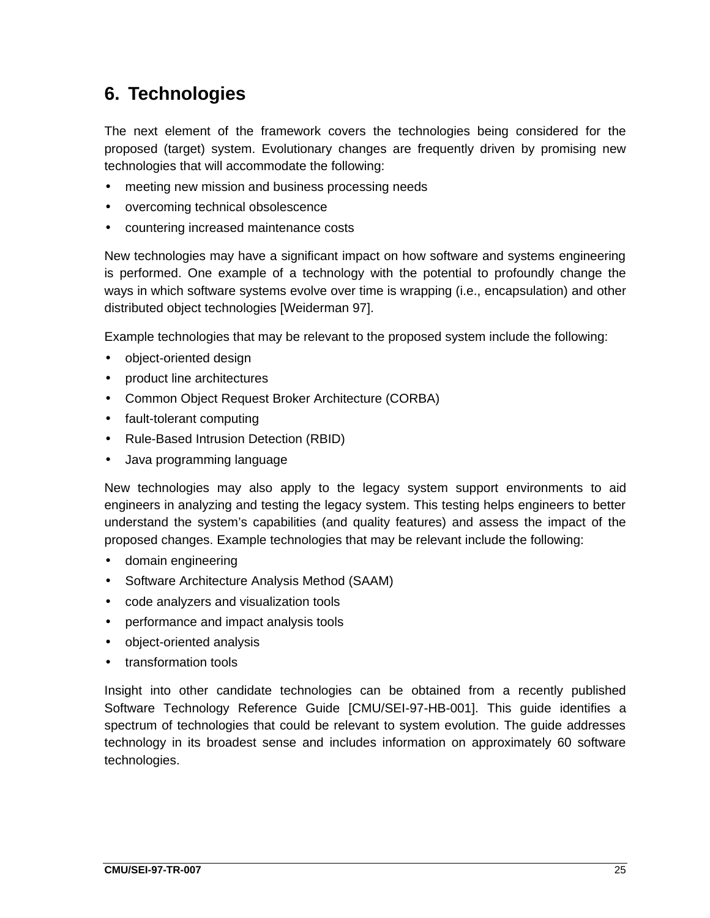# **6. Technologies**

The next element of the framework covers the technologies being considered for the proposed (target) system. Evolutionary changes are frequently driven by promising new technologies that will accommodate the following:

- meeting new mission and business processing needs
- overcoming technical obsolescence
- countering increased maintenance costs

New technologies may have a significant impact on how software and systems engineering is performed. One example of a technology with the potential to profoundly change the ways in which software systems evolve over time is wrapping (i.e., encapsulation) and other distributed object technologies [Weiderman 97].

Example technologies that may be relevant to the proposed system include the following:

- object-oriented design
- product line architectures
- Common Object Request Broker Architecture (CORBA)
- fault-tolerant computing
- Rule-Based Intrusion Detection (RBID)
- Java programming language

New technologies may also apply to the legacy system support environments to aid engineers in analyzing and testing the legacy system. This testing helps engineers to better understand the system's capabilities (and quality features) and assess the impact of the proposed changes. Example technologies that may be relevant include the following:

- domain engineering
- Software Architecture Analysis Method (SAAM)
- code analyzers and visualization tools
- performance and impact analysis tools
- object-oriented analysis
- transformation tools

Insight into other candidate technologies can be obtained from a recently published Software Technology Reference Guide [CMU/SEI-97-HB-001]. This guide identifies a spectrum of technologies that could be relevant to system evolution. The guide addresses technology in its broadest sense and includes information on approximately 60 software technologies.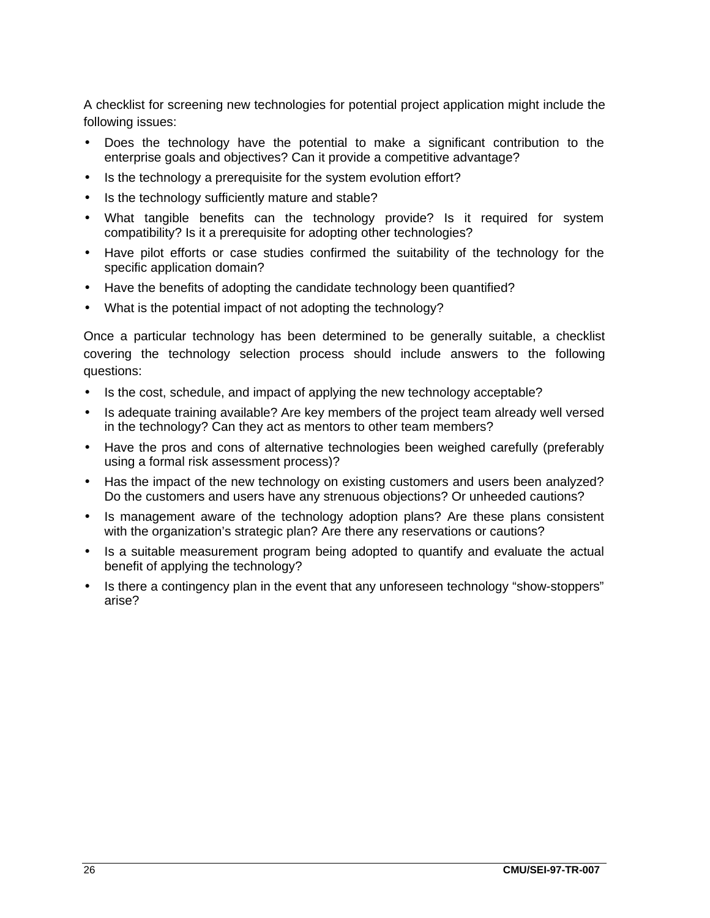A checklist for screening new technologies for potential project application might include the following issues:

- Does the technology have the potential to make a significant contribution to the enterprise goals and objectives? Can it provide a competitive advantage?
- Is the technology a prerequisite for the system evolution effort?
- Is the technology sufficiently mature and stable?
- What tangible benefits can the technology provide? Is it required for system compatibility? Is it a prerequisite for adopting other technologies?
- Have pilot efforts or case studies confirmed the suitability of the technology for the specific application domain?
- Have the benefits of adopting the candidate technology been quantified?
- What is the potential impact of not adopting the technology?

Once a particular technology has been determined to be generally suitable, a checklist covering the technology selection process should include answers to the following questions:

- Is the cost, schedule, and impact of applying the new technology acceptable?
- Is adequate training available? Are key members of the project team already well versed in the technology? Can they act as mentors to other team members?
- Have the pros and cons of alternative technologies been weighed carefully (preferably using a formal risk assessment process)?
- Has the impact of the new technology on existing customers and users been analyzed? Do the customers and users have any strenuous objections? Or unheeded cautions?
- Is management aware of the technology adoption plans? Are these plans consistent with the organization's strategic plan? Are there any reservations or cautions?
- Is a suitable measurement program being adopted to quantify and evaluate the actual benefit of applying the technology?
- Is there a contingency plan in the event that any unforeseen technology "show-stoppers" arise?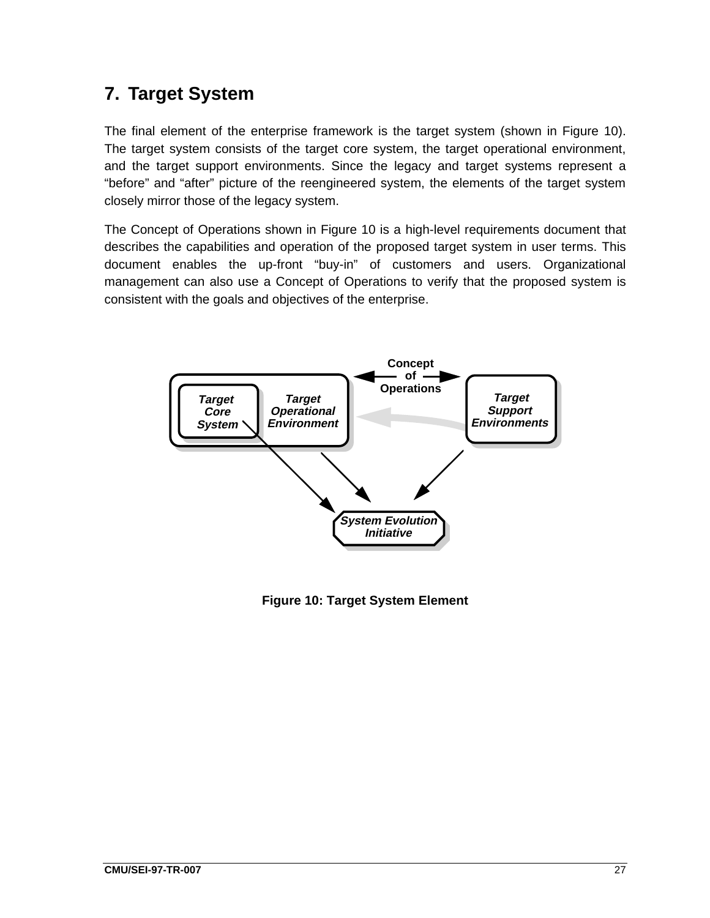# **7. Target System**

The final element of the enterprise framework is the target system (shown in Figure 10). The target system consists of the target core system, the target operational environment, and the target support environments. Since the legacy and target systems represent a "before" and "after" picture of the reengineered system, the elements of the target system closely mirror those of the legacy system.

The Concept of Operations shown in Figure 10 is a high-level requirements document that describes the capabilities and operation of the proposed target system in user terms. This document enables the up-front "buy-in" of customers and users. Organizational management can also use a Concept of Operations to verify that the proposed system is consistent with the goals and objectives of the enterprise.

![](_page_36_Figure_3.jpeg)

**Figure 10: Target System Element**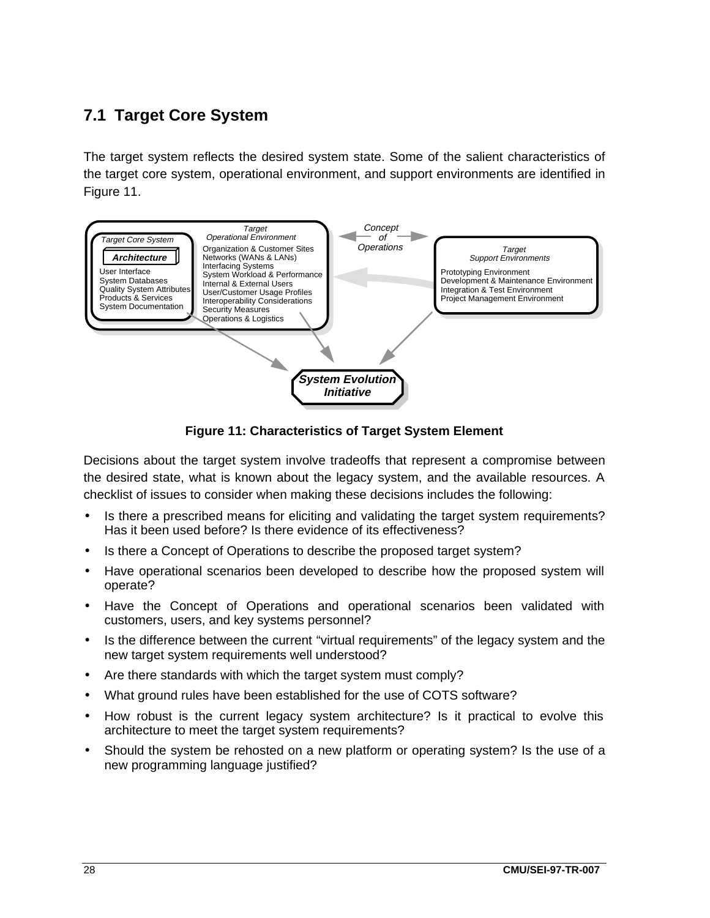### **7.1 Target Core System**

The target system reflects the desired system state. Some of the salient characteristics of the target core system, operational environment, and support environments are identified in Figure 11.

![](_page_37_Figure_2.jpeg)

**Figure 11: Characteristics of Target System Element**

Decisions about the target system involve tradeoffs that represent a compromise between the desired state, what is known about the legacy system, and the available resources. A checklist of issues to consider when making these decisions includes the following:

- Is there a prescribed means for eliciting and validating the target system requirements? Has it been used before? Is there evidence of its effectiveness?
- Is there a Concept of Operations to describe the proposed target system?
- Have operational scenarios been developed to describe how the proposed system will operate?
- Have the Concept of Operations and operational scenarios been validated with customers, users, and key systems personnel?
- Is the difference between the current "virtual requirements" of the legacy system and the new target system requirements well understood?
- Are there standards with which the target system must comply?
- What ground rules have been established for the use of COTS software?
- How robust is the current legacy system architecture? Is it practical to evolve this architecture to meet the target system requirements?
- Should the system be rehosted on a new platform or operating system? Is the use of a new programming language justified?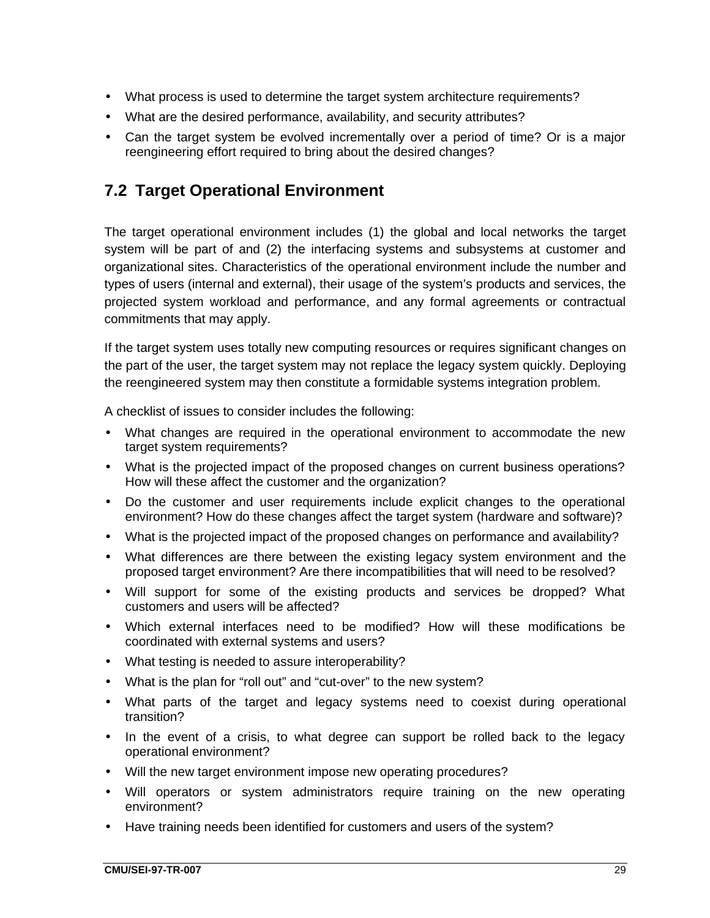- What process is used to determine the target system architecture requirements?
- What are the desired performance, availability, and security attributes?
- Can the target system be evolved incrementally over a period of time? Or is a major reengineering effort required to bring about the desired changes?

### **7.2 Target Operational Environment**

The target operational environment includes (1) the global and local networks the target system will be part of and (2) the interfacing systems and subsystems at customer and organizational sites. Characteristics of the operational environment include the number and types of users (internal and external), their usage of the system's products and services, the projected system workload and performance, and any formal agreements or contractual commitments that may apply.

If the target system uses totally new computing resources or requires significant changes on the part of the user, the target system may not replace the legacy system quickly. Deploying the reengineered system may then constitute a formidable systems integration problem.

A checklist of issues to consider includes the following:

- What changes are required in the operational environment to accommodate the new target system requirements?
- What is the projected impact of the proposed changes on current business operations? How will these affect the customer and the organization?
- Do the customer and user requirements include explicit changes to the operational environment? How do these changes affect the target system (hardware and software)?
- What is the projected impact of the proposed changes on performance and availability?
- What differences are there between the existing legacy system environment and the proposed target environment? Are there incompatibilities that will need to be resolved?
- Will support for some of the existing products and services be dropped? What customers and users will be affected?
- Which external interfaces need to be modified? How will these modifications be coordinated with external systems and users?
- What testing is needed to assure interoperability?
- What is the plan for "roll out" and "cut-over" to the new system?
- What parts of the target and legacy systems need to coexist during operational transition?
- In the event of a crisis, to what degree can support be rolled back to the legacy operational environment?
- Will the new target environment impose new operating procedures?
- Will operators or system administrators require training on the new operating environment?
- Have training needs been identified for customers and users of the system?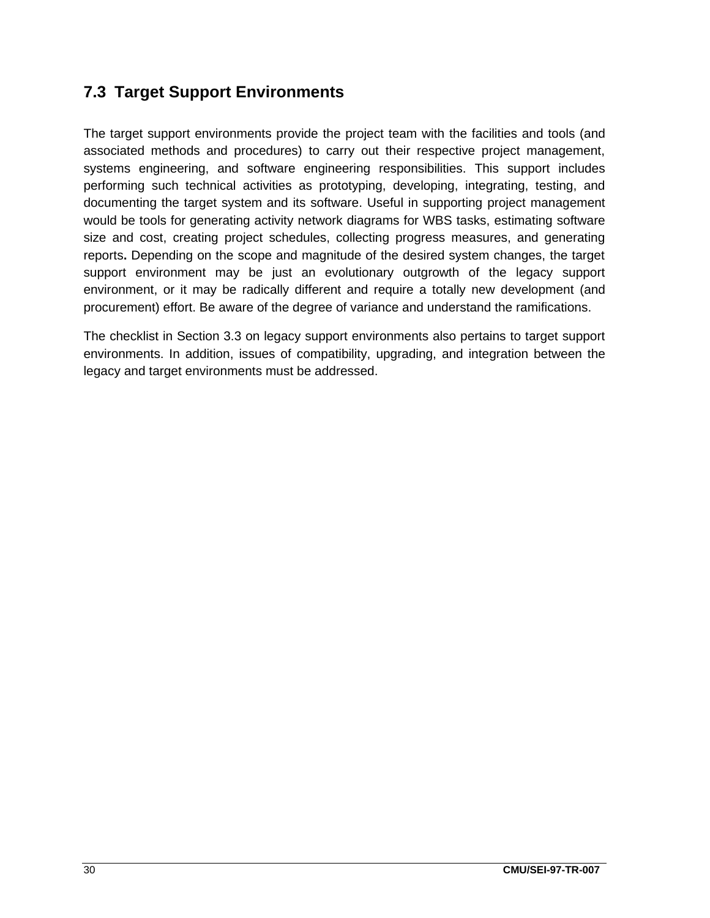### **7.3 Target Support Environments**

The target support environments provide the project team with the facilities and tools (and associated methods and procedures) to carry out their respective project management, systems engineering, and software engineering responsibilities. This support includes performing such technical activities as prototyping, developing, integrating, testing, and documenting the target system and its software. Useful in supporting project management would be tools for generating activity network diagrams for WBS tasks, estimating software size and cost, creating project schedules, collecting progress measures, and generating reports**.** Depending on the scope and magnitude of the desired system changes, the target support environment may be just an evolutionary outgrowth of the legacy support environment, or it may be radically different and require a totally new development (and procurement) effort. Be aware of the degree of variance and understand the ramifications.

The checklist in Section 3.3 on legacy support environments also pertains to target support environments. In addition, issues of compatibility, upgrading, and integration between the legacy and target environments must be addressed.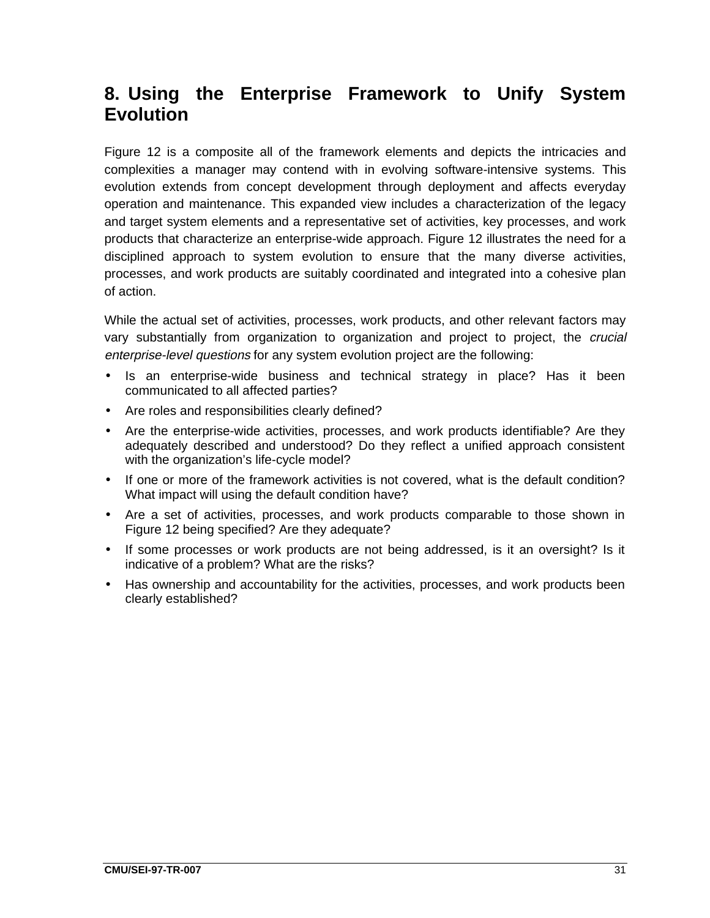# **8. Using the Enterprise Framework to Unify System Evolution**

Figure 12 is a composite all of the framework elements and depicts the intricacies and complexities a manager may contend with in evolving software-intensive systems. This evolution extends from concept development through deployment and affects everyday operation and maintenance. This expanded view includes a characterization of the legacy and target system elements and a representative set of activities, key processes, and work products that characterize an enterprise-wide approach. Figure 12 illustrates the need for a disciplined approach to system evolution to ensure that the many diverse activities, processes, and work products are suitably coordinated and integrated into a cohesive plan of action.

While the actual set of activities, processes, work products, and other relevant factors may vary substantially from organization to organization and project to project, the *crucial* enterprise-level questions for any system evolution project are the following:

- Is an enterprise-wide business and technical strategy in place? Has it been communicated to all affected parties?
- Are roles and responsibilities clearly defined?
- Are the enterprise-wide activities, processes, and work products identifiable? Are they adequately described and understood? Do they reflect a unified approach consistent with the organization's life-cycle model?
- If one or more of the framework activities is not covered, what is the default condition? What impact will using the default condition have?
- Are a set of activities, processes, and work products comparable to those shown in Figure 12 being specified? Are they adequate?
- If some processes or work products are not being addressed, is it an oversight? Is it indicative of a problem? What are the risks?
- Has ownership and accountability for the activities, processes, and work products been clearly established?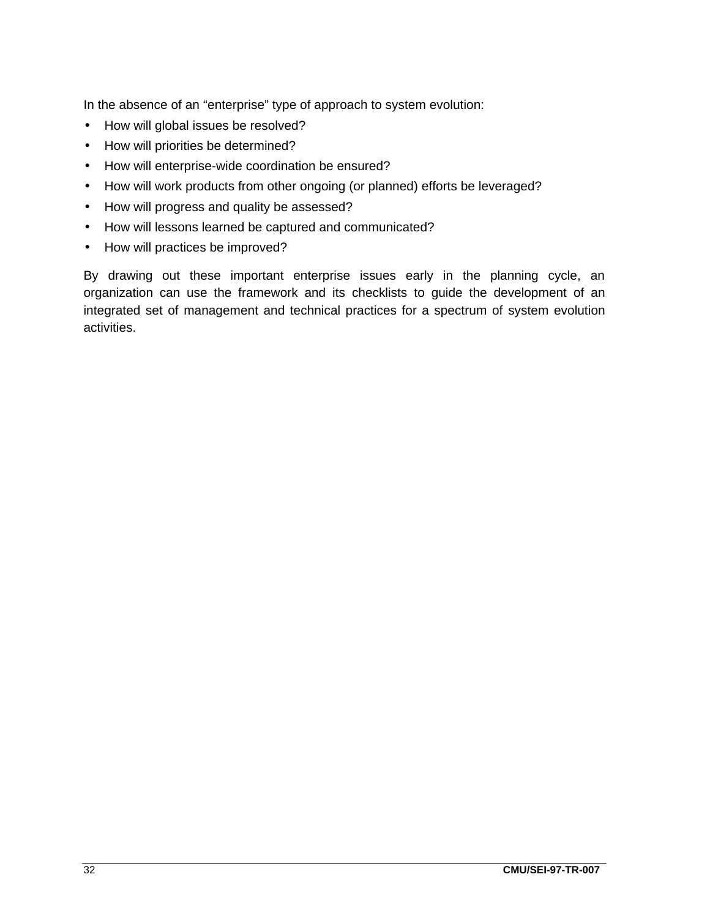In the absence of an "enterprise" type of approach to system evolution:

- How will global issues be resolved?
- How will priorities be determined?
- How will enterprise-wide coordination be ensured?
- How will work products from other ongoing (or planned) efforts be leveraged?
- How will progress and quality be assessed?
- How will lessons learned be captured and communicated?
- How will practices be improved?

By drawing out these important enterprise issues early in the planning cycle, an organization can use the framework and its checklists to guide the development of an integrated set of management and technical practices for a spectrum of system evolution activities.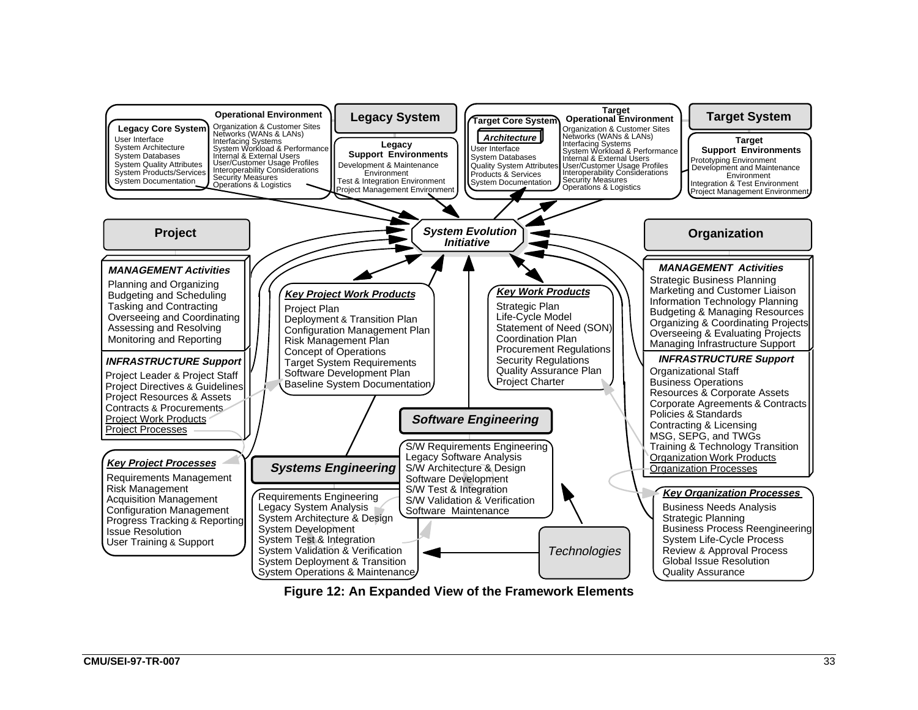![](_page_42_Figure_0.jpeg)

**Figure 12: An Expanded View of the Framework Elements**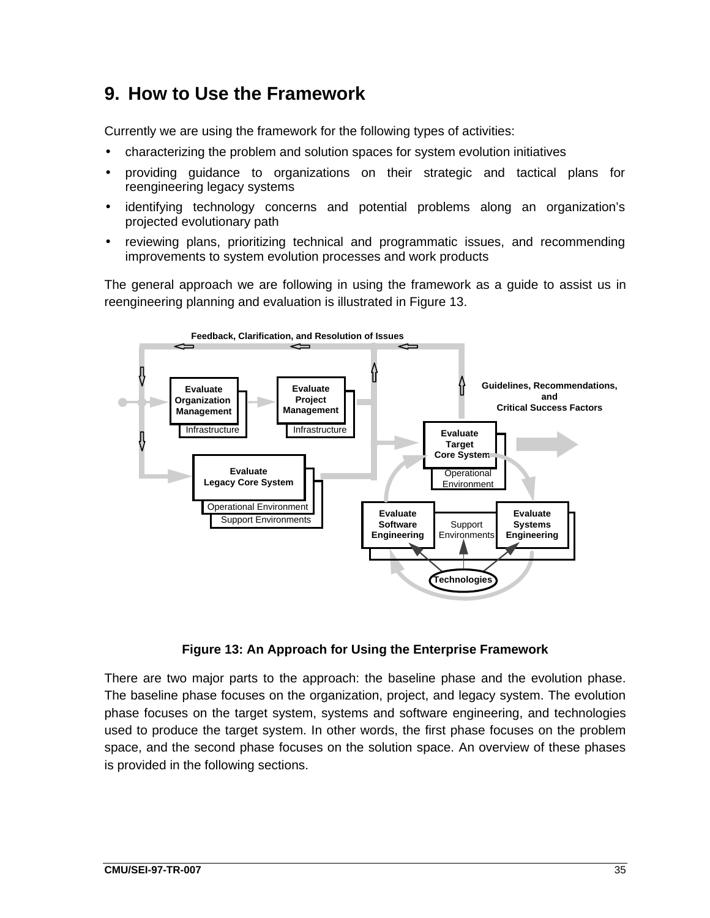# **9. How to Use the Framework**

Currently we are using the framework for the following types of activities:

- characterizing the problem and solution spaces for system evolution initiatives
- providing guidance to organizations on their strategic and tactical plans for reengineering legacy systems
- identifying technology concerns and potential problems along an organization's projected evolutionary path
- reviewing plans, prioritizing technical and programmatic issues, and recommending improvements to system evolution processes and work products

The general approach we are following in using the framework as a guide to assist us in reengineering planning and evaluation is illustrated in Figure 13.

![](_page_44_Figure_7.jpeg)

**Figure 13: An Approach for Using the Enterprise Framework**

There are two major parts to the approach: the baseline phase and the evolution phase. The baseline phase focuses on the organization, project, and legacy system. The evolution phase focuses on the target system, systems and software engineering, and technologies used to produce the target system. In other words, the first phase focuses on the problem space, and the second phase focuses on the solution space. An overview of these phases is provided in the following sections.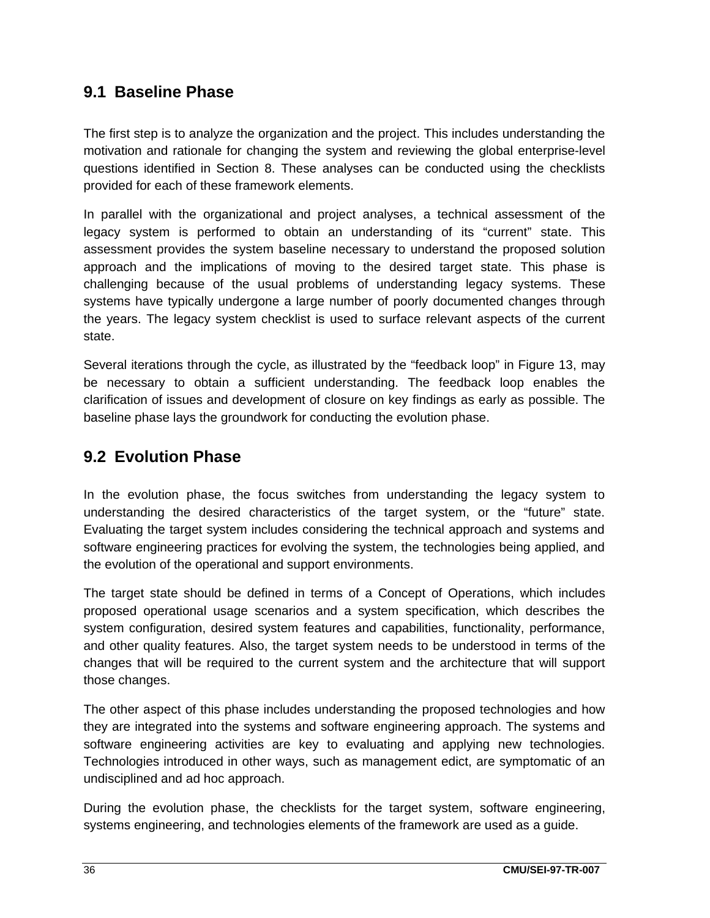### **9.1 Baseline Phase**

The first step is to analyze the organization and the project. This includes understanding the motivation and rationale for changing the system and reviewing the global enterprise-level questions identified in Section 8. These analyses can be conducted using the checklists provided for each of these framework elements.

In parallel with the organizational and project analyses, a technical assessment of the legacy system is performed to obtain an understanding of its "current" state. This assessment provides the system baseline necessary to understand the proposed solution approach and the implications of moving to the desired target state. This phase is challenging because of the usual problems of understanding legacy systems. These systems have typically undergone a large number of poorly documented changes through the years. The legacy system checklist is used to surface relevant aspects of the current state.

Several iterations through the cycle, as illustrated by the "feedback loop" in Figure 13, may be necessary to obtain a sufficient understanding. The feedback loop enables the clarification of issues and development of closure on key findings as early as possible. The baseline phase lays the groundwork for conducting the evolution phase.

### **9.2 Evolution Phase**

In the evolution phase, the focus switches from understanding the legacy system to understanding the desired characteristics of the target system, or the "future" state. Evaluating the target system includes considering the technical approach and systems and software engineering practices for evolving the system, the technologies being applied, and the evolution of the operational and support environments.

The target state should be defined in terms of a Concept of Operations, which includes proposed operational usage scenarios and a system specification, which describes the system configuration, desired system features and capabilities, functionality, performance, and other quality features. Also, the target system needs to be understood in terms of the changes that will be required to the current system and the architecture that will support those changes.

The other aspect of this phase includes understanding the proposed technologies and how they are integrated into the systems and software engineering approach. The systems and software engineering activities are key to evaluating and applying new technologies. Technologies introduced in other ways, such as management edict, are symptomatic of an undisciplined and ad hoc approach.

During the evolution phase, the checklists for the target system, software engineering, systems engineering, and technologies elements of the framework are used as a guide.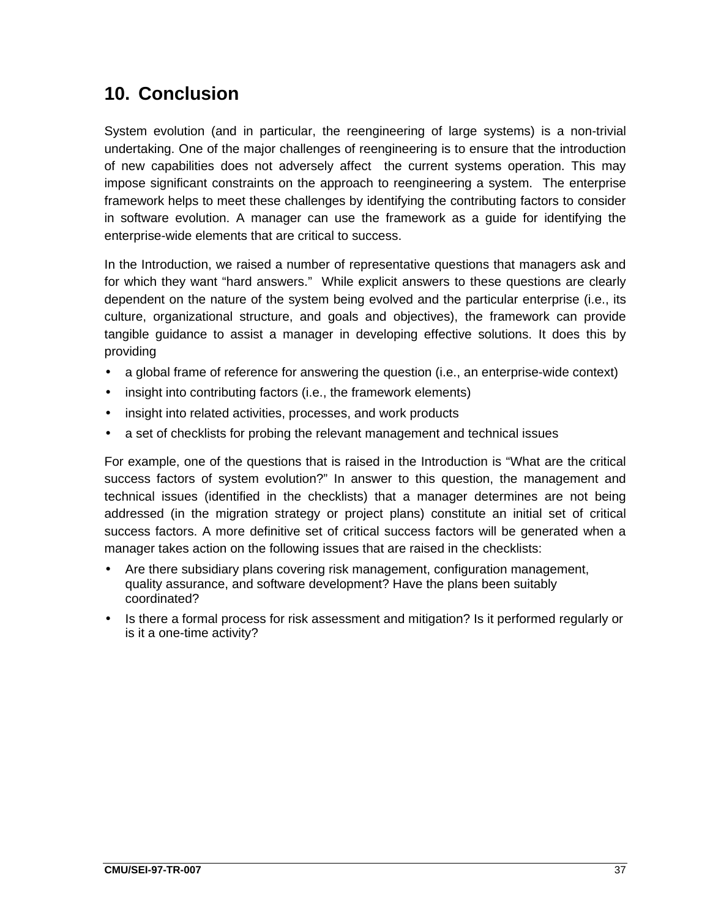# **10. Conclusion**

System evolution (and in particular, the reengineering of large systems) is a non-trivial undertaking. One of the major challenges of reengineering is to ensure that the introduction of new capabilities does not adversely affect the current systems operation. This may impose significant constraints on the approach to reengineering a system. The enterprise framework helps to meet these challenges by identifying the contributing factors to consider in software evolution. A manager can use the framework as a guide for identifying the enterprise-wide elements that are critical to success.

In the Introduction, we raised a number of representative questions that managers ask and for which they want "hard answers." While explicit answers to these questions are clearly dependent on the nature of the system being evolved and the particular enterprise (i.e., its culture, organizational structure, and goals and objectives), the framework can provide tangible guidance to assist a manager in developing effective solutions. It does this by providing

- a global frame of reference for answering the question (i.e., an enterprise-wide context)
- insight into contributing factors (i.e., the framework elements)
- insight into related activities, processes, and work products
- a set of checklists for probing the relevant management and technical issues

For example, one of the questions that is raised in the Introduction is "What are the critical success factors of system evolution?" In answer to this question, the management and technical issues (identified in the checklists) that a manager determines are not being addressed (in the migration strategy or project plans) constitute an initial set of critical success factors. A more definitive set of critical success factors will be generated when a manager takes action on the following issues that are raised in the checklists:

- Are there subsidiary plans covering risk management, configuration management, quality assurance, and software development? Have the plans been suitably coordinated?
- Is there a formal process for risk assessment and mitigation? Is it performed regularly or is it a one-time activity?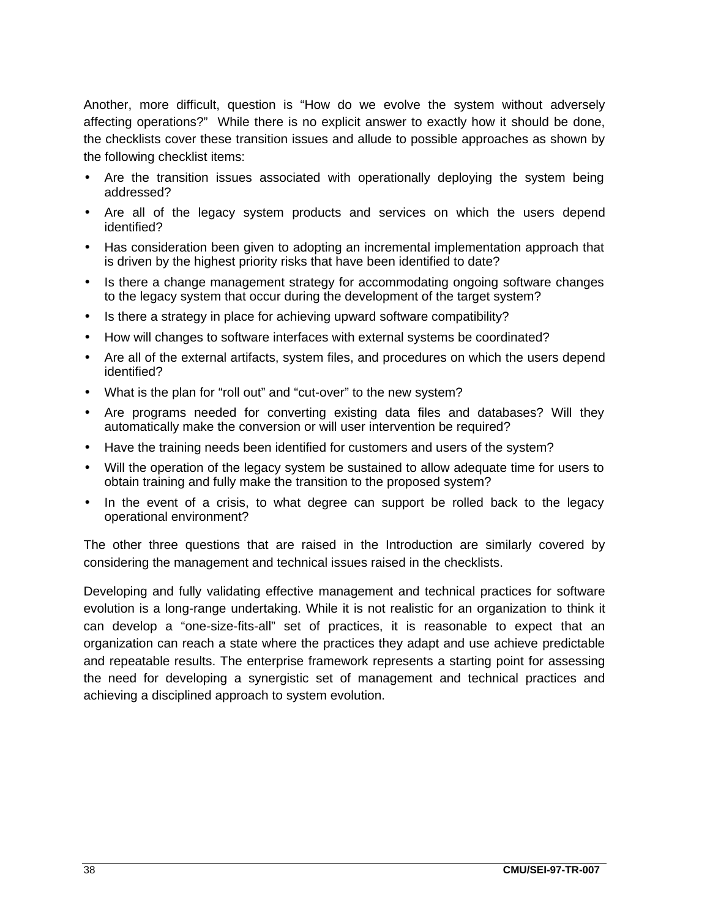Another, more difficult, question is "How do we evolve the system without adversely affecting operations?" While there is no explicit answer to exactly how it should be done, the checklists cover these transition issues and allude to possible approaches as shown by the following checklist items:

- Are the transition issues associated with operationally deploying the system being addressed?
- Are all of the legacy system products and services on which the users depend identified?
- Has consideration been given to adopting an incremental implementation approach that is driven by the highest priority risks that have been identified to date?
- Is there a change management strategy for accommodating ongoing software changes to the legacy system that occur during the development of the target system?
- Is there a strategy in place for achieving upward software compatibility?
- How will changes to software interfaces with external systems be coordinated?
- Are all of the external artifacts, system files, and procedures on which the users depend identified?
- What is the plan for "roll out" and "cut-over" to the new system?
- Are programs needed for converting existing data files and databases? Will they automatically make the conversion or will user intervention be required?
- Have the training needs been identified for customers and users of the system?
- Will the operation of the legacy system be sustained to allow adequate time for users to obtain training and fully make the transition to the proposed system?
- In the event of a crisis, to what degree can support be rolled back to the legacy operational environment?

The other three questions that are raised in the Introduction are similarly covered by considering the management and technical issues raised in the checklists.

Developing and fully validating effective management and technical practices for software evolution is a long-range undertaking. While it is not realistic for an organization to think it can develop a "one-size-fits-all" set of practices, it is reasonable to expect that an organization can reach a state where the practices they adapt and use achieve predictable and repeatable results. The enterprise framework represents a starting point for assessing the need for developing a synergistic set of management and technical practices and achieving a disciplined approach to system evolution.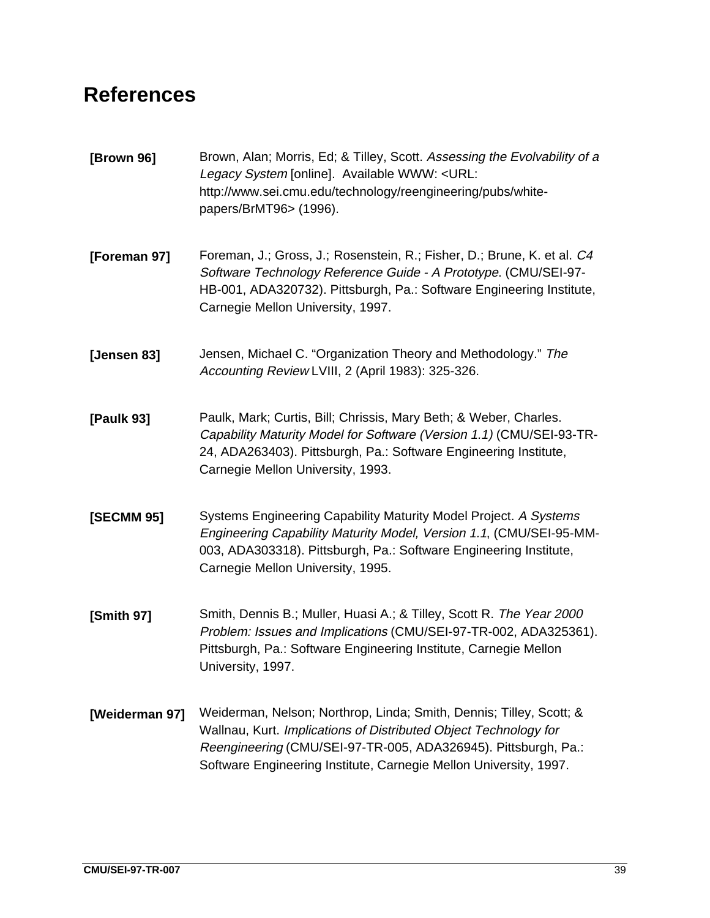# **References**

- **[Brown 96]** Brown, Alan; Morris, Ed; & Tilley, Scott. Assessing the Evolvability of a Legacy System [online]. Available WWW: <URL: http://www.sei.cmu.edu/technology/reengineering/pubs/whitepapers/BrMT96> (1996).
- **[Foreman 97]** Foreman, J.; Gross, J.; Rosenstein, R.; Fisher, D.; Brune, K. et al. C4 Software Technology Reference Guide - A Prototype. (CMU/SEI-97- HB-001, ADA320732). Pittsburgh, Pa.: Software Engineering Institute, Carnegie Mellon University, 1997.
- **[Jensen 83]** Jensen, Michael C. "Organization Theory and Methodology." The Accounting Review LVIII, 2 (April 1983): 325-326.
- **[Paulk 93]** Paulk, Mark; Curtis, Bill; Chrissis, Mary Beth; & Weber, Charles. Capability Maturity Model for Software (Version 1.1) (CMU/SEI-93-TR-24, ADA263403). Pittsburgh, Pa.: Software Engineering Institute, Carnegie Mellon University, 1993.
- **[SECMM 95]** Systems Engineering Capability Maturity Model Project. A Systems Engineering Capability Maturity Model, Version 1.1, (CMU/SEI-95-MM-003, ADA303318). Pittsburgh, Pa.: Software Engineering Institute, Carnegie Mellon University, 1995.
- **[Smith 97]** Smith, Dennis B.; Muller, Huasi A.; & Tilley, Scott R. The Year 2000 Problem: Issues and Implications (CMU/SEI-97-TR-002, ADA325361). Pittsburgh, Pa.: Software Engineering Institute, Carnegie Mellon University, 1997.
- **[Weiderman 97]** Weiderman, Nelson; Northrop, Linda; Smith, Dennis; Tilley, Scott; & Wallnau, Kurt. Implications of Distributed Object Technology for Reengineering (CMU/SEI-97-TR-005, ADA326945). Pittsburgh, Pa.: Software Engineering Institute, Carnegie Mellon University, 1997.